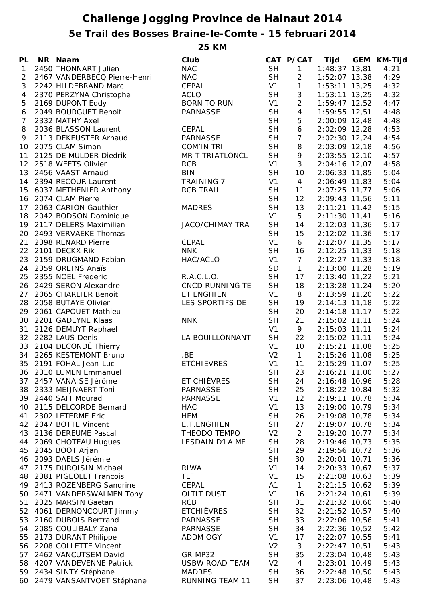## **Challenge Jogging Province de Hainaut 2014 5e Trail des Bosses Braine-le-Comte - 15 februari 2014**

**25 KM**

| <b>PL</b>      | NR Naam                      | Club                   |                | CAT P/CAT       | Tijd              | GEM KM-Tijd |
|----------------|------------------------------|------------------------|----------------|-----------------|-------------------|-------------|
| 1              | 2450 THONNART Julien         | <b>NAC</b>             | <b>SH</b>      | $\mathbf{1}$    | $1:48:37$ 13,81   | 4:21        |
| 2              | 2467 VANDERBECQ Pierre-Henri | <b>NAC</b>             | <b>SH</b>      | $\overline{2}$  | $1:52:07$ 13,38   | 4:29        |
| 3              | 2242 HILDEBRAND Marc         | CEPAL                  | V1             | $\mathbf{1}$    | $1:53:11$ 13,25   | 4:32        |
| $\overline{4}$ | 2370 PERZYNA Christophe      | <b>ACLO</b>            | <b>SH</b>      | $\sqrt{3}$      | $1:53:11$ $13,25$ | 4:32        |
| 5              | 2169 DUPONT Eddy             | <b>BORN TO RUN</b>     | V1             | $\overline{2}$  | $1:59:47$ 12,52   | 4:47        |
| 6              | 2049 BOURGUET Benoit         | <b>PARNASSE</b>        | <b>SH</b>      | $\overline{4}$  | 1:59:55 12,51     | 4:48        |
| 7              | 2332 MATHY Axel              |                        | <b>SH</b>      | 5               | 2:00:09 12,48     | 4:48        |
| 8              | 2036 BLASSON Laurent         | CEPAL                  | <b>SH</b>      | 6               | 2:02:09 12,28     | 4:53        |
| 9              | 2113 DEKEUSTER Arnaud        | <b>PARNASSE</b>        | <b>SH</b>      | $\overline{7}$  | 2:02:30 12,24     | 4:54        |
|                | 10 2075 CLAM Simon           | <b>COM'IN TRI</b>      | <b>SH</b>      | 8               | 2:03:09 12,18     | 4:56        |
|                | 2125 DE MULDER Diedrik       |                        | <b>SH</b>      |                 |                   |             |
| 11             |                              | MR T TRIATLONCL        |                | 9               | 2:03:55 12,10     | 4:57        |
|                | 12 2518 WEETS Olivier        | <b>RCB</b>             | V1             | 3               | 2:04:16 12,07     | 4:58        |
|                | 13 2456 VAAST Arnaud         | <b>BIN</b>             | <b>SH</b>      | 10              | 2:06:33 11,85     | 5:04        |
|                | 14 2394 RECOUR Laurent       | <b>TRAINING 7</b>      | V1             | $\overline{4}$  | 2:06:49 11,83     | 5:04        |
|                | 15 6037 METHENIER Anthony    | <b>RCB TRAIL</b>       | <b>SH</b>      | 11              | 2:07:25 11,77     | 5:06        |
|                | 16 2074 CLAM Pierre          |                        | <b>SH</b>      | 12              | 2:09:43 11,56     | 5:11        |
| 17             | 2063 CARION Gauthier         | <b>MADRES</b>          | <b>SH</b>      | 13              | $2:11:21$ 11,42   | 5:15        |
| 18             | 2042 BODSON Dominique        |                        | V1             | 5               | $2:11:30$ 11,41   | 5:16        |
| 19             | 2117 DELERS Maximilien       | <b>JACO/CHIMAY TRA</b> | <b>SH</b>      | 14              | 2:12:03 11,36     | 5:17        |
| 20             | 2493 VERVAEKE Thomas         |                        | <b>SH</b>      | 15              | 2:12:02 11,36     | 5:17        |
| 21             | 2398 RENARD Pierre           | <b>CEPAL</b>           | V1             | 6               | 2:12:07 11,35     | 5:17        |
|                | 22 2101 DECKX Rik            | <b>NNK</b>             | <b>SH</b>      | 16              | $2:12:25$ 11,33   | 5:18        |
| 23             | 2159 DRUGMAND Fabian         | HAC/ACLO               | V1             | $7\overline{ }$ | $2:12:27$ 11,33   | 5:18        |
|                | 24 2359 OREINS Anaïs         |                        | SD             | $\mathbf{1}$    | 2:13:00 11,28     | 5:19        |
|                | 25 2355 NOEL Frederic        | R.A.C.L.O.             | <b>SH</b>      | 17              | 2:13:40 11,22     | 5:21        |
|                | 26 2429 SERON Alexandre      | CNCD RUNNING TE        | <b>SH</b>      | 18              | $2:13:28$ 11,24   | 5:20        |
|                | 27 2065 CHARLIER Benoit      | ET ENGHIEN             | V1             | 8               | 2:13:59 11,20     | 5:22        |
|                | 28 2058 BUTAYE Olivier       | LES SPORTIFS DE        | <b>SH</b>      | 19              | $2:14:13$ 11,18   | 5:22        |
|                | 29 2061 CAPOUET Mathieu      |                        | <b>SH</b>      | 20              | $2:14:18$ 11,17   | 5:22        |
| 30             | 2201 GADEYNE Klaas           | <b>NNK</b>             | <b>SH</b>      | 21              | $2:15:02$ 11,11   | 5:24        |
|                | 31 2126 DEMUYT Raphael       |                        | V <sub>1</sub> | 9               | 2:15:03 11,11     | 5:24        |
|                | 32 2282 LAUS Denis           | LA BOUILLONNANT        | <b>SH</b>      | 22              | 2:15:02 11,11     | 5:24        |
|                | 33 2104 DECONDÉ Thierry      |                        | V1             | 10              | 2:15:21 11,08     | 5:25        |
|                | 34 2265 KESTEMONT Bruno      | .BE                    | V <sub>2</sub> | $\overline{1}$  | 2:15:26 11,08     | 5:25        |
|                | 35 2191 FOHAL Jean-Luc       | <b>ETCHIEVRES</b>      | V1             | 11              | 2:15:29 11,07     | 5:25        |
|                | 36 2310 LUMEN Emmanuel       |                        | <b>SH</b>      | 23              | 2:16:21 11,00     | 5:27        |
|                |                              | ET CHIÈVRES            |                |                 |                   |             |
| 37             | 2457 VANAISE Jérôme          |                        | <b>SH</b>      | 24              | 2:16:48 10,96     | 5:28        |
|                | 38 2333 MEIJNAERT Toni       | <b>PARNASSE</b>        | <b>SH</b>      | 25              | 2:18:22 10,84     | 5:32        |
|                | 39 2440 SAFI Mourad          | <b>PARNASSE</b>        | V <sub>1</sub> | 12              | 2:19:11 10,78     | 5:34        |
| 40             | 2115 DELCORDE Bernard        | <b>HAC</b>             | V <sub>1</sub> | 13              | 2:19:00 10,79     | 5:34        |
| 41             | 2302 LETERME Eric            | <b>HEM</b>             | <b>SH</b>      | 26              | 2:19:08 10,78     | 5:34        |
| 42             | 2047 BOTTE Vincent           | E.T.ENGHIEN            | <b>SH</b>      | 27              | 2:19:07 10,78     | 5:34        |
| 43             | 2136 DEREUME Pascal          | THEODO TEMPO           | V <sub>2</sub> | $\overline{2}$  | 2:19:20 10,77     | 5:34        |
| 44             | 2069 CHOTEAU Hugues          | LESDAIN D'LA ME        | <b>SH</b>      | 28              | 2:19:46 10,73     | 5:35        |
| 45             | 2045 BOOT Arjan              |                        | <b>SH</b>      | 29              | 2:19:56 10,72     | 5:36        |
| 46             | 2093 DAELS Jérémie           |                        | <b>SH</b>      | 30              | 2:20:01 10,71     | 5:36        |
| 47             | 2175 DUROISIN Michael        | <b>RIWA</b>            | V <sub>1</sub> | 14              | 2:20:33 10,67     | 5:37        |
| 48             | 2381 PIGEOLET Francois       | <b>TLF</b>             | V <sub>1</sub> | 15              | $2:21:08$ 10,63   | 5:39        |
| 49             | 2413 ROZENBERG Sandrine      | <b>CEPAL</b>           | A1             | $\mathbf{1}$    | $2:21:15$ 10,62   | 5:39        |
| 50             | 2471 VANDERSWALMEN Tony      | <b>OLTIT DUST</b>      | V <sub>1</sub> | 16              | $2:21:24$ 10,61   | 5:39        |
| 51             | 2325 MARSIN Gaetan           | <b>RCB</b>             | <b>SH</b>      | 31              | 2:21:32 10,60     | 5:40        |
| 52             | 4061 DERNONCOURT Jimmy       | <b>ETCHIÈVRES</b>      | <b>SH</b>      | 32              | $2:21:52$ 10,57   | 5:40        |
| 53             | 2160 DUBOIS Bertrand         | PARNASSE               | <b>SH</b>      | 33              | 2:22:06 10,56     | 5:41        |
| 54             | 2085 COULIBALY Zana          | <b>PARNASSE</b>        | <b>SH</b>      | 34              | 2:22:36 10,52     | 5:42        |
| 55             | 2173 DURANT Philippe         | ADDM OGY               | V <sub>1</sub> | 17              | 2:22:07 10,55     | 5:41        |
| 56             | 2208 COLLETTE Vincent        |                        | V <sub>2</sub> | 3               | 2:22:47 10,51     | 5:43        |
| 57             | 2462 VANCUTSEM David         | GRIMP32                | <b>SH</b>      | 35              | 2:23:04 10,48     | 5:43        |
| 58             | 4207 VANDEVENNE Patrick      | <b>USBW ROAD TEAM</b>  | V <sub>2</sub> | 4               | 2:23:01 10,49     | 5:43        |
|                | 59 2434 SINTY Stéphane       | <b>MADRES</b>          | <b>SH</b>      | 36              | 2:22:48 10,50     | 5:43        |
| 60             | 2479 VANSANTVOET Stéphane    | <b>RUNNING TEAM 11</b> | <b>SH</b>      | 37              | 2:23:06 10,48     | 5:43        |
|                |                              |                        |                |                 |                   |             |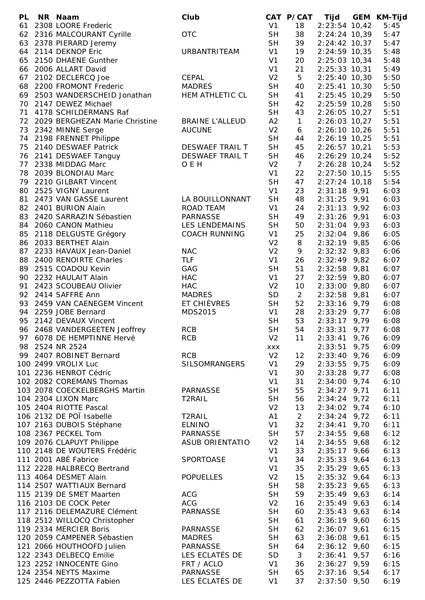| <b>PL</b> | NR Naam                           | Club                   |                | CAT P/CAT      | Tijd            | <b>GEM KM-Tijd</b> |
|-----------|-----------------------------------|------------------------|----------------|----------------|-----------------|--------------------|
| 61        | 2308 LOORE Frederic               |                        | V1             | 18             | $2:23:54$ 10,42 | 5:45               |
|           | 62 2316 MALCOURANT Cyrille        | <b>OTC</b>             | <b>SH</b>      | 38             | 2:24:24 10,39   | 5:47               |
|           | 63 2378 PIERARD Jeremy            |                        | <b>SH</b>      | 39             | $2:24:42$ 10,37 | 5:47               |
|           | 64 2114 DEKNOP Eric               | URBANTRITEAM           | V1             | 19             | 2:24:59 10,35   | 5:48               |
|           | 65 2150 DHAENE Gunther            |                        | V <sub>1</sub> | 20             | 2:25:03 10,34   | 5:48               |
|           | 66 2006 ALLART David              |                        | V <sub>1</sub> | 21             | $2:25:33$ 10,31 | 5:49               |
|           | 67 2102 DECLERCQ Joe              | <b>CEPAL</b>           | V <sub>2</sub> | 5              | 2:25:40 10,30   | 5:50               |
|           | 68 2200 FROMONT Frederic          | <b>MADRES</b>          | <b>SH</b>      | 40             | $2:25:41$ 10,30 | 5:50               |
|           | 69 2503 WANDERSCHEID Jonathan     | HEM ATHLETIC CL        | <b>SH</b>      | 41             | 2:25:45 10,29   | 5:50               |
|           | 70 2147 DEWEZ Michael             |                        | <b>SH</b>      | 42             | 2:25:59 10,28   | 5:50               |
| 71        | 4178 SCHILDERMANS Raf             |                        | <b>SH</b>      | 43             | 2:26:05 10,27   | 5:51               |
|           | 72 2029 BERGHEZAN Marie Christine | <b>BRAINE L'ALLEUD</b> | A2             | $\mathbf{1}$   | $2:26:03$ 10,27 | 5:51               |
|           |                                   |                        |                |                |                 |                    |
|           | 73 2342 MINNE Serge               | <b>AUCUNE</b>          | V <sub>2</sub> | 6              | 2:26:10 10,26   | 5:51               |
|           | 74 2198 FRENNET Philippe          |                        | <b>SH</b>      | 44             | 2:26:19 10,25   | 5:51               |
| 75        | 2140 DESWAEF Patrick              | DESWAEF TRAIL T        | <b>SH</b>      | 45             | $2:26:57$ 10,21 | 5:53               |
| 76        | 2141 DESWAEF Tanguy               | <b>DESWAEF TRAIL T</b> | <b>SH</b>      | 46             | 2:26:29 10,24   | 5:52               |
| 77        | 2338 MIDDAG Marc                  | O E H                  | V <sub>2</sub> | 7 <sup>1</sup> | 2:26:28 10,24   | 5:52               |
| 78        | 2039 BLONDIAU Marc                |                        | V <sub>1</sub> | 22             | $2:27:50$ 10,15 | 5:55               |
| 79        | 2210 GILBART Vincent              |                        | <b>SH</b>      | 47             | $2:27:24$ 10,18 | 5:54               |
| 80        | 2525 VIGNY Laurent                |                        | V1             | 23             | $2:31:18$ 9,91  | 6:03               |
| 81        | 2473 VAN GASSE Laurent            | LA BOUILLONNANT        | <b>SH</b>      | 48             | $2:31:25$ 9,91  | 6:03               |
|           | 82 2401 BURION Alain              | ROAD TEAM              | V1             | 24             | $2:31:13$ 9,92  | 6:03               |
| 83        | 2420 SARRAZIN Sébastien           | <b>PARNASSE</b>        | <b>SH</b>      | 49             | $2:31:26$ 9,91  | 6:03               |
|           | 84 2060 CANON Mathieu             | LES LENDEMAINS         | <b>SH</b>      | 50             | $2:31:04$ 9,93  | 6:03               |
| 85        | 2118 DELGUSTE Grégory             | <b>COACH RUNNING</b>   | V <sub>1</sub> | 25             | $2:32:04$ 9,86  | 6:05               |
|           | 86 2033 BERTHET Alain             |                        | V <sub>2</sub> | 8              | $2:32:19$ 9,85  | 6:06               |
| 87        | 2233 HAVAUX Jean-Daniel           | <b>NAC</b>             | V <sub>2</sub> | 9              | $2:32:32$ 9,83  | 6:06               |
| 88        | 2400 RENOIRTE Charles             | <b>TLF</b>             | V <sub>1</sub> | 26             | $2:32:49$ 9,82  | 6:07               |
| 89        | 2515 COADOU Kevin                 | GAG                    | <b>SH</b>      | 51             | $2:32:58$ 9,81  | 6:07               |
| 90        |                                   |                        | V <sub>1</sub> | 27             |                 |                    |
|           | 2232 HAULAIT Alain                | <b>HAC</b>             |                |                | $2:32:59$ 9,80  | 6:07               |
| 91        | 2423 SCOUBEAU Olivier             | <b>HAC</b>             | V <sub>2</sub> | 10             | $2:33:00$ 9,80  | 6:07               |
|           | 92 2414 SAFFRE Ann                | <b>MADRES</b>          | SD             | $\overline{2}$ | $2:32:58$ 9,81  | 6:07               |
|           | 93 2459 VAN CAENEGEM Vincent      | ET CHIÈVRES            | <b>SH</b>      | 52             | $2:33:16$ 9,79  | 6:08               |
|           | 94 2259 JOBE Bernard              | MDS2015                | V <sub>1</sub> | 28             | $2:33:29$ 9,77  | 6:08               |
|           | 95 2142 DEVAUX Vincent            |                        | <b>SH</b>      | 53             | $2:33:17$ 9,79  | 6:08               |
|           | 96 2468 VANDERGEETEN Jeoffrey     | <b>RCB</b>             | <b>SH</b>      | 54             | $2:33:31$ 9,77  | 6:08               |
|           | 97 6078 DE HEMPTINNE Hervé        | <b>RCB</b>             | V <sub>2</sub> | 11             | $2:33:41$ 9,76  | 6:09               |
|           | 98 2524 NR 2524                   |                        | XXX            |                | $2:33:51$ 9,75  | 6:09               |
|           | 99 2407 ROBINET Bernard           | <b>RCB</b>             | V <sub>2</sub> | 12             | $2:33:40$ 9,76  | 6:09               |
|           | 100 2499 VROLIX Luc               | <b>SILSOMRANGERS</b>   | V <sub>1</sub> | 29             | $2:33:55$ 9,75  | 6:09               |
|           | 101 2236 HENROT Cédric            |                        | V <sub>1</sub> | 30             | $2:33:28$ 9,77  | 6:08               |
|           | 102 2082 COREMANS Thomas          |                        | V <sub>1</sub> | 31             | $2:34:00$ 9,74  | 6:10               |
|           | 103 2078 COECKELBERGHS Martin     | PARNASSE               | <b>SH</b>      | 55             | $2:34:27$ 9,71  | 6:11               |
|           | 104 2304 LIXON Marc               | T2RAIL                 | <b>SH</b>      | 56             | $2:34:24$ 9,72  | 6:11               |
|           | 105 2404 RIOTTE Pascal            |                        | V <sub>2</sub> | 13             | $2:34:02$ 9,74  | 6:10               |
|           | 106 2132 DE POÏ Isabelle          | T2RAIL                 | A1             | $\overline{2}$ | $2:34:24$ 9,72  | 6:11               |
|           | 107 2163 DUBOIS Stéphane          | <b>ELNINO</b>          | V <sub>1</sub> | 32             | $2:34:41$ 9,70  | 6:11               |
|           | 108 2367 PECKEL Tom               | PARNASSE               | <b>SH</b>      | 57             | $2:34:55$ 9,68  | 6:12               |
|           | 109 2076 CLAPUYT Philippe         | <b>ASUB ORIENTATIO</b> | V <sub>2</sub> | 14             | $2:34:55$ 9,68  | 6:12               |
|           | 110 2148 DE WOUTERS Frédéric      |                        | V <sub>1</sub> | 33             | $2:35:17$ 9,66  | 6:13               |
|           | 111 2001 ABÉ Fabrice              | SPORTOASE              | V <sub>1</sub> | 34             | $2:35:33$ 9,64  | 6:13               |
|           | 112 2228 HALBRECQ Bertrand        |                        | V <sub>1</sub> | 35             | $2:35:29$ 9,65  | 6:13               |
|           | 113 4064 DESMET Alain             | <b>POPUELLES</b>       | V <sub>2</sub> | 15             | $2:35:32$ 9,64  | 6:13               |
|           | 114 2507 WATTIAUX Bernard         |                        | <b>SH</b>      |                |                 |                    |
|           |                                   |                        |                | 58             | $2:35:23$ 9,65  | 6:13               |
|           | 115 2139 DE SMET Maarten          | <b>ACG</b>             | <b>SH</b>      | 59             | $2:35:49$ 9,63  | 6:14               |
|           | 116 2103 DE COCK Peter            | <b>ACG</b>             | V <sub>2</sub> | 16             | $2:35:49$ 9,63  | 6:14               |
|           | 117 2116 DELEMAZURE Clément       | <b>PARNASSE</b>        | <b>SH</b>      | 60             | $2:35:43$ 9,63  | 6:14               |
|           | 118 2512 WILLOCQ Christopher      |                        | <b>SH</b>      | 61             | $2:36:19$ 9,60  | 6:15               |
|           | 119 2334 MERCIER Boris            | <b>PARNASSE</b>        | <b>SH</b>      | 62             | $2:36:07$ 9,61  | 6:15               |
|           | 120 2059 CAMPENER Sébastien       | <b>MADRES</b>          | <b>SH</b>      | 63             | $2:36:08$ 9,61  | 6:15               |
|           | 121 2066 HOUTHOOFD Julien         | <b>PARNASSE</b>        | <b>SH</b>      | 64             | $2:36:12$ 9,60  | 6:15               |
|           | 122 2343 DELBECQ Emilie           | LES ECLATÉS DE         | <b>SD</b>      | 3              | $2:36:41$ 9,57  | 6:16               |
|           | 123 2252 INNOCENTE Gino           | FRT / ACLO             | V <sub>1</sub> | 36             | $2:36:27$ 9,59  | 6:15               |
|           | 124 2354 NEYTS Maxime             | PARNASSE               | <b>SH</b>      | 65             | $2:37:16$ 9,54  | 6:17               |
|           | 125 2446 PEZZOTTA Fabien          | LES ÉCLATÉS DE         | V <sub>1</sub> | 37             | $2:37:50$ 9,50  | 6:19               |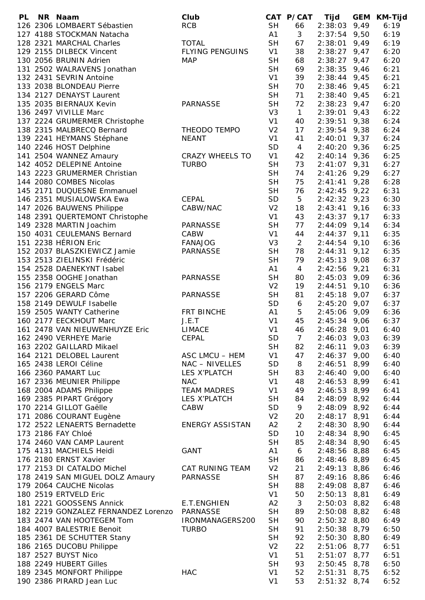| <b>PL</b> | NR Naam                                                   | Club                   |                | CAT P/CAT      | Tijd           |      | <b>GEM KM-Tijd</b> |
|-----------|-----------------------------------------------------------|------------------------|----------------|----------------|----------------|------|--------------------|
|           | 126 2306 LOMBAERT Sébastien                               | <b>RCB</b>             | <b>SH</b>      | 66             | $2:38:03$ 9,49 |      | 6:19               |
|           | 127 4188 STOCKMAN Natacha                                 |                        | A1             | 3              | $2:37:54$ 9,50 |      | 6:19               |
|           | 128 2321 MARCHAL Charles                                  | <b>TOTAL</b>           | <b>SH</b>      | 67             | $2:38:01$ 9,49 |      | 6:19               |
|           | 129 2155 DILBECK Vincent                                  | <b>FLYING PENGUINS</b> | V1             | 38             | $2:38:27$ 9,47 |      | 6:20               |
|           | 130 2056 BRUNIN Adrien                                    | <b>MAP</b>             | <b>SH</b>      | 68             | $2:38:27$ 9,47 |      | 6:20               |
|           | 131 2502 WALRAVENS Jonathan                               |                        | <b>SH</b>      | 69             | 2:38:35        | 9,46 | 6:21               |
|           | 132 2431 SEVRIN Antoine                                   |                        | V <sub>1</sub> | 39             | $2:38:44$ 9,45 |      | 6:21               |
|           | 133 2038 BLONDEAU Pierre                                  |                        | <b>SH</b>      | 70             | $2:38:46$ 9,45 |      | 6:21               |
|           | 134 2127 DENAYST Laurent                                  |                        | <b>SH</b>      | 71             | $2:38:40$ 9,45 |      | 6:21               |
|           | 135 2035 BIERNAUX Kevin                                   | <b>PARNASSE</b>        | <b>SH</b>      | 72             | $2:38:23$ 9,47 |      | 6:20               |
|           | 136 2497 VIVILLE Marc                                     |                        | V <sub>3</sub> | $\mathbf{1}$   | $2:39:01$ 9,43 |      | 6:22               |
|           | 137 2224 GRUMERMER Christophe                             |                        | V <sub>1</sub> | 40             | 2:39:51        | 9,38 | 6:24               |
|           | 138 2315 MALBRECQ Bernard                                 | THEODO TEMPO           | V <sub>2</sub> | 17             | $2:39:54$ 9,38 |      | 6:24               |
|           | 139 2241 HEYMANS Stéphane                                 | <b>NEANT</b>           | V <sub>1</sub> | 41             | $2:40:01$ 9,37 |      | 6:24               |
|           | 140 2246 HOST Delphine                                    |                        | <b>SD</b>      | 4              | $2:40:20$ 9,36 |      | 6:25               |
|           | 141 2504 WANNEZ Amaury                                    | <b>CRAZY WHEELS TO</b> | V1             | 42             | $2:40:14$ 9,36 |      | 6:25               |
|           | 142 4052 DELEPINE Antoine                                 | <b>TURBO</b>           | <b>SH</b>      | 73             | $2:41:07$ 9,31 |      | 6:27               |
|           | 143 2223 GRUMERMER Christian                              |                        | <b>SH</b>      | 74             | $2:41:26$ 9,29 |      | 6:27               |
|           | 144 2080 COMBES Nicolas                                   |                        | <b>SH</b>      | 75             | $2:41:41$ 9,28 |      | 6:28               |
|           | 145 2171 DUQUESNE Emmanuel                                |                        | <b>SH</b>      | 76             | $2:42:45$ 9,22 |      | 6:31               |
|           | 146 2351 MUSIALOWSKA Ewa                                  | CEPAL                  | <b>SD</b>      | 5              | $2:42:32$ 9,23 |      | 6:30               |
|           | 147 2026 BAUWENS Philippe                                 | CABW/NAC               | V <sub>2</sub> | 18             | $2:43:41$ 9,16 |      | 6:33               |
|           |                                                           |                        | V1             | 43             |                |      | 6:33               |
|           | 148 2391 QUERTEMONT Christophe<br>149 2328 MARTIN Joachim |                        | <b>SH</b>      |                | $2:43:37$ 9,17 |      | 6:34               |
|           |                                                           | <b>PARNASSE</b>        |                | 77             | $2:44:09$ 9,14 |      |                    |
|           | 150 4031 CEULEMANS Bernard                                | CABW                   | V <sub>1</sub> | 44             | $2:44:37$ 9,11 |      | 6:35               |
|           | 151 2238 HÉRION Eric                                      | <b>FANAJOG</b>         | V <sub>3</sub> | $\overline{a}$ | $2:44:54$ 9,10 |      | 6:36               |
|           | 152 2037 BLASZKIEWICZ Jamie                               | PARNASSE               | <b>SH</b>      | 78             | $2:44:31$ 9,12 |      | 6:35               |
|           | 153 2513 ZIELINSKI Frédéric                               |                        | <b>SH</b>      | 79             | $2:45:13$ 9,08 |      | 6:37               |
|           | 154 2528 DAENEKYNT Isabel                                 |                        | A1             | 4              | $2:42:56$ 9,21 |      | 6:31               |
|           | 155 2358 OOGHE Jonathan                                   | <b>PARNASSE</b>        | <b>SH</b>      | 80             | $2:45:03$ 9,09 |      | 6:36               |
|           | 156 2179 ENGELS Marc                                      |                        | V <sub>2</sub> | 19             | $2:44:51$ 9,10 |      | 6:36               |
|           | 157 2206 GERARD Côme                                      | <b>PARNASSE</b>        | <b>SH</b>      | 81             | $2:45:18$ 9,07 |      | 6:37               |
|           | 158 2149 DEWULF Isabelle                                  |                        | SD             | 6              | $2:45:20$ 9,07 |      | 6:37               |
|           | 159 2505 WANTY Catherine                                  | FRT BINCHE             | A1             | 5              | $2:45:06$ 9,09 |      | 6:36               |
|           | 160 2177 EECKHOUT Marc                                    | J.E.T                  | V <sub>1</sub> | 45             | $2:45:34$ 9,06 |      | 6:37               |
|           | 161 2478 VAN NIEUWENHUYZE Eric                            | <b>LIMACE</b>          | V <sub>1</sub> | 46             | 2:46:28        | 9,01 | 6:40               |
|           | 162 2490 VERHEYE Marie                                    | <b>CEPAL</b>           | <b>SD</b>      | $\overline{7}$ | $2:46:03$ 9,03 |      | 6:39               |
|           | 163 2202 GAILLARD Mikael                                  |                        | <b>SH</b>      | 82             | 2:46:11        | 9,03 | 6:39               |
|           | 164 2121 DELOBEL Laurent                                  | ASC LMCU - HEM         | V <sub>1</sub> | 47             | $2:46:37$ 9,00 |      | 6:40               |
|           | 165 2438 LEROI Céline                                     | NAC - NIVELLES         | <b>SD</b>      | 8              | $2:46:51$ 8,99 |      | 6:40               |
|           | 166 2360 PAMART Luc                                       | LES X'PLATCH           | <b>SH</b>      | 83             | $2:46:40$ 9,00 |      | 6:40               |
|           | 167 2336 MEUNIER Philippe                                 | <b>NAC</b>             | V <sub>1</sub> | 48             | 2:46:53 8,99   |      | 6:41               |
|           | 168 2004 ADAMS Philippe                                   | <b>TEAM MADRES</b>     | V <sub>1</sub> | 49             | $2:46:53$ 8,99 |      | 6:41               |
|           | 169 2385 PIPART Grégory                                   | LES X'PLATCH           | <b>SH</b>      | 84             | 2:48:09 8,92   |      | 6:44               |
|           | 170 2214 GILLOT Gaëlle                                    | CABW                   | <b>SD</b>      | 9              | $2:48:09$ 8,92 |      | 6:44               |
|           | 171 2086 COURANT Eugène                                   |                        | V <sub>2</sub> | 20             | $2:48:17$ 8,91 |      | 6:44               |
|           | 172 2522 LENAERTS Bernadette                              | <b>ENERGY ASSISTAN</b> | A2             | $\overline{2}$ | $2:48:30$ 8,90 |      | 6:44               |
|           | 173 2186 FAY Chloé                                        |                        | SD             | 10             | $2:48:34$ 8,90 |      | 6:45               |
|           | 174 2460 VAN CAMP Laurent                                 |                        | <b>SH</b>      | 85             | $2:48:34$ 8,90 |      | 6:45               |
|           | 175 4131 MACHIELS Heidi                                   | <b>GANT</b>            | A1             | 6              | $2:48:56$ 8,88 |      | 6:45               |
|           | 176 2180 ERNST Xavier                                     |                        | <b>SH</b>      | 86             | $2:48:46$ 8,89 |      | 6:45               |
|           | 177 2153 DI CATALDO Michel                                | CAT RUNING TEAM        | V <sub>2</sub> | 21             | $2:49:13$ 8,86 |      | 6:46               |
|           | 178 2419 SAN MIGUEL DOLZ Amaury                           | <b>PARNASSE</b>        | <b>SH</b>      | 87             | $2:49:16$ 8,86 |      | 6:46               |
|           | 179 2064 CAUCHE Nicolas                                   |                        | <b>SH</b>      | 88             | $2:49:08$ 8,87 |      | 6:46               |
|           | 180 2519 ERTVELD Eric                                     |                        | V1             | 50             | $2:50:13$ 8,81 |      | 6:49               |
|           | 181 2221 GOOSSENS Annick                                  | E.T.ENGHIEN            | A2             | 3              | $2:50:03$ 8,82 |      | 6:48               |
|           | 182 2219 GONZALEZ FERNANDEZ Lorenzo                       | PARNASSE               | <b>SH</b>      | 89             | $2:50:08$ 8,82 |      | 6:48               |
|           | 183 2474 VAN HOOTEGEM Tom                                 | IRONMANAGERS200        | <b>SH</b>      | 90             | $2:50:32$ 8,80 |      | 6:49               |
|           | 184 4007 BALESTRIE Benoit                                 | <b>TURBO</b>           | <b>SH</b>      | 91             | $2:50:38$ 8,79 |      | 6:50               |
|           | 185 2361 DE SCHUTTER Stany                                |                        | <b>SH</b>      | 92             | $2:50:30$ 8,80 |      | 6:49               |
|           | 186 2165 DUCOBU Philippe                                  |                        | V <sub>2</sub> | 22             | $2:51:06$ 8,77 |      | 6:51               |
|           | 187 2527 BUYST Nico                                       |                        | V <sub>1</sub> | 51             | $2:51:07$ 8,77 |      | 6:51               |
|           | 188 2249 HUBERT Gilles                                    |                        | <b>SH</b>      | 93             | $2:50:45$ 8,78 |      | 6:50               |
|           | 189 2345 MONFORT Philippe                                 | <b>HAC</b>             | V <sub>1</sub> | 52             | $2:51:31$ 8,75 |      | 6:52               |
|           | 190 2386 PIRARD Jean Luc                                  |                        | V <sub>1</sub> | 53             | $2:51:32$ 8,74 |      | 6:52               |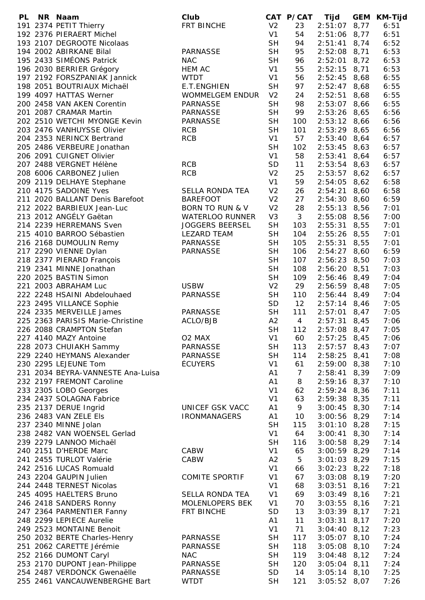| PL. | NR Naam                           | Club                       |                | CAT P/CAT      | Tijd             | GEM KM-Tijd |
|-----|-----------------------------------|----------------------------|----------------|----------------|------------------|-------------|
|     | 191 2374 PETIT Thierry            | FRT BINCHE                 | V <sub>2</sub> | 23             | $2:51:07$ 8,77   | 6:51        |
|     | 192 2376 PIERAERT Michel          |                            | V <sub>1</sub> | 54             | $2:51:06$ 8,77   | 6:51        |
|     | 193 2107 DEGROOTE Nicolaas        |                            | <b>SH</b>      | 94             | $2:51:41$ 8,74   | 6:52        |
|     | 194 2002 ABIRKANE Bilal           | PARNASSE                   | <b>SH</b>      | 95             | $2:52:08$ 8,71   | 6:53        |
|     | 195 2433 SIMÉONS Patrick          | <b>NAC</b>                 | <b>SH</b>      | 96             | $2:52:01$ 8,72   | 6:53        |
|     | 196 2030 BERRIER Grégory          | <b>HEM AC</b>              | V1             | 55             | $2:52:15$ 8,71   | 6:53        |
|     | 197 2192 FORSZPANIAK Jannick      | <b>WTDT</b>                | V <sub>1</sub> | 56             | $2:52:45$ 8,68   | 6:55        |
|     | 198 2051 BOUTRIAUX Michaël        | E.T.ENGHIEN                | <b>SH</b>      | 97             | $2:52:47$ 8,68   | 6:55        |
|     | 199 4097 HATTAS Werner            | <b>WOMMELGEM ENDUR</b>     | V <sub>2</sub> | 24             | $2:52:51$ 8,68   | 6:55        |
|     | 200 2458 VAN AKEN Corentin        | <b>PARNASSE</b>            | <b>SH</b>      | 98             | $2:53:07$ 8,66   | 6:55        |
|     | 201 2087 CRAMAR Martin            | <b>PARNASSE</b>            | <b>SH</b>      | 99             | $2:53:26$ 8,65   | 6:56        |
|     | 202 2510 WETCHI MYONGE Kevin      | PARNASSE                   | <b>SH</b>      | 100            | $2:53:12$ 8,66   | 6:56        |
|     | 203 2476 VANHUYSSE Olivier        | <b>RCB</b>                 | <b>SH</b>      | 101            | $2:53:29$ 8,65   | 6:56        |
|     | 204 2353 NERINCX Bertrand         | <b>RCB</b>                 | V <sub>1</sub> | 57             | $2:53:40$ 8,64   | 6:57        |
|     | 205 2486 VERBEURE Jonathan        |                            | <b>SH</b>      |                |                  | 6:57        |
|     | 206 2091 CUIGNET Olivier          |                            |                | 102            | $2:53:45$ 8,63   |             |
|     |                                   |                            | V <sub>1</sub> | 58             | $2:53:41$ 8,64   | 6:57        |
|     | 207 2488 VERGNET Hélène           | <b>RCB</b>                 | <b>SD</b>      | 11             | $2:53:54$ 8,63   | 6:57        |
|     | 208 6006 CARBONEZ Julien          | <b>RCB</b>                 | V <sub>2</sub> | 25             | $2:53:57$ 8,62   | 6:57        |
|     | 209 2119 DELHAYE Stephane         |                            | V1             | 59             | $2:54:05$ 8,62   | 6:58        |
|     | 210 4175 SADOINE Yves             | SELLA RONDA TEA            | V <sub>2</sub> | 26             | $2:54:21$ 8,60   | 6:58        |
|     | 211 2020 BALLANT Denis Barefoot   | <b>BAREFOOT</b>            | V <sub>2</sub> | 27             | $2:54:30$ 8,60   | 6:59        |
|     | 212 2022 BARBIEUX Jean-Luc        | <b>BORN TO RUN &amp; V</b> | V <sub>2</sub> | 28             | $2:55:13$ 8,56   | 7:01        |
|     | 213 2012 ANGÉLY Gaëtan            | <b>WATERLOO RUNNER</b>     | V <sub>3</sub> | 3              | $2:55:08$ 8,56   | 7:00        |
|     | 214 2239 HERREMANS Sven           | <b>JOGGERS BEERSEL</b>     | <b>SH</b>      | 103            | $2:55:31$ 8,55   | 7:01        |
|     | 215 4010 BARROO Sébastien         | <b>LEZARD TEAM</b>         | <b>SH</b>      | 104            | $2:55:26$ 8,55   | 7:01        |
|     | 216 2168 DUMOULIN Remy            | PARNASSE                   | <b>SH</b>      | 105            | $2:55:31$ 8,55   | 7:01        |
|     | 217 2290 VIENNE Dylan             | <b>PARNASSE</b>            | <b>SH</b>      | 106            | $2:54:27$ 8,60   | 6:59        |
|     | 218 2377 PIERARD François         |                            | <b>SH</b>      | 107            | $2:56:23$ 8,50   | 7:03        |
|     | 219 2341 MINNE Jonathan           |                            | <b>SH</b>      | 108            | $2:56:20$ 8,51   | 7:03        |
|     | 220 2025 BASTIN Simon             |                            | <b>SH</b>      | 109            | $2:56:46$ 8,49   | 7:04        |
|     | 221 2003 ABRAHAM Luc              | <b>USBW</b>                | V <sub>2</sub> | 29             | $2:56:59$ 8,48   | 7:05        |
|     | 222 2248 HSAINI Abdelouhaed       | <b>PARNASSE</b>            | <b>SH</b>      | 110            | $2:56:44$ 8,49   | 7:04        |
|     | 223 2495 VILLANCE Sophie          |                            | <b>SD</b>      | 12             | $2:57:14$ 8,46   | 7:05        |
|     | 224 2335 MERVEILLE James          | <b>PARNASSE</b>            | <b>SH</b>      | 111            | $2:57:01$ 8,47   | 7:05        |
|     | 225 2363 PARISIS Marie-Christine  | ACLO/BJB                   | A2             | $\overline{4}$ | $2:57:31$ 8,45   | 7:06        |
|     | 226 2088 CRAMPTON Stefan          |                            | <b>SH</b>      | 112            | $2:57:08$ 8,47   | 7:05        |
|     | 227 4140 MAZY Antoine             | O2 MAX                     | V <sub>1</sub> | 60             | $2:57:25$ 8,45   | 7:06        |
|     | 228 2073 CHUIAKH Sammy            | PARNASSE                   | <b>SH</b>      | 113            | $2:57:57$ 8,43   | 7:07        |
|     | 229 2240 HEYMANS Alexander        | PARNASSE                   | <b>SH</b>      | 114            | $2:58:25$ 8,41   | 7:08        |
|     | 230 2295 LEJEUNE Tom              | <b>ÉCUYERS</b>             | V <sub>1</sub> | 61             | $2:59:00$ 8,38   | 7:10        |
|     | 231 2034 BEYRA-VANNESTE Ana-Luisa |                            | A1             | $\overline{7}$ | $2:58:41$ 8,39   | 7:09        |
|     | 232 2197 FREMONT Caroline         |                            | A1             | 8              | $2:59:16$ 8,37   | 7:10        |
|     | 233 2305 LOBO Georges             |                            | V <sub>1</sub> | 62             | $2:59:24$ 8,36   | 7:11        |
|     | 234 2437 SOLAGNA Fabrice          |                            | V <sub>1</sub> | 63             | $2:59:38$ 8,35   | 7:11        |
|     | 235 2137 DERUE Ingrid             | <b>UNICEF GSK VACC</b>     | A1             | 9              | $3:00:45$ 8,30   | 7:14        |
|     | 236 2483 VAN ZELE Els             | <b>IRONMANAGERS</b>        | A1             | 10             | $3:00:56$ 8,29   | 7:14        |
|     | 237 2340 MINNE Jolan              |                            | <b>SH</b>      | 115            | $3:01:10$ 8,28   | 7:15        |
|     | 238 2482 VAN WOENSEL Gerlad       |                            | V <sub>1</sub> | 64             | $3:00:41$ 8,30   | 7:14        |
|     | 239 2279 LANNOO Michaël           |                            | <b>SH</b>      | 116            | $3:00:58$ $8,29$ | 7:14        |
|     | 240 2151 D'HERDE Marc             | CABW                       | V <sub>1</sub> | 65             | $3:00:59$ 8,29   | 7:14        |
|     | 241 2455 TURLOT Valérie           | CABW                       | A2             | 5              | $3:01:03$ 8,29   | 7:15        |
|     | 242 2516 LUCAS Romuald            |                            | V <sub>1</sub> | 66             | $3:02:23$ 8,22   | 7:18        |
|     | 243 2204 GAUPIN Julien            | <b>COMITE SPORTIF</b>      | V <sub>1</sub> | 67             | $3:03:08$ 8,19   | 7:20        |
|     | 244 2448 TERNEST Nicolas          |                            | V <sub>1</sub> | 68             | $3:03:51$ 8,16   | 7:21        |
|     | 245 4095 HAELTERS Bruno           | SELLA RONDA TEA            | V <sub>1</sub> | 69             | $3:03:49$ 8,16   | 7:21        |
|     | 246 2418 SANDERS Ronny            | MOLENLOPERS BEK            | V <sub>1</sub> | 70             | $3:03:55$ 8,16   | 7:21        |
|     | 247 2364 PARMENTIER Fanny         | FRT BINCHE                 | <b>SD</b>      | 13             | $3:03:39$ 8,17   | 7:21        |
|     | 248 2299 LEPIECE Aurelie          |                            | A1             | 11             | $3:03:31$ 8,17   | 7:20        |
|     | 249 2523 MONTAINE Benoit          |                            | V <sub>1</sub> | 71             | $3:04:40$ 8,12   | 7:23        |
|     | 250 2032 BERTE Charles-Henry      | <b>PARNASSE</b>            | <b>SH</b>      | 117            | $3:05:07$ 8,10   | 7:24        |
|     | 251 2062 CARETTE Jérémie          | <b>PARNASSE</b>            | <b>SH</b>      | 118            | $3:05:08$ 8,10   | 7:24        |
|     | 252 2166 DUMONT Caryl             | <b>NAC</b>                 | <b>SH</b>      | 119            | $3:04:48$ 8,12   | 7:24        |
|     | 253 2170 DUPONT Jean-Philippe     | <b>PARNASSE</b>            | <b>SH</b>      | 120            | $3:05:04$ 8,11   | 7:24        |
|     | 254 2487 VERDONCK Gwenaëlle       | <b>PARNASSE</b>            | <b>SD</b>      | 14             | $3:05:14$ 8,10   | 7:25        |
|     | 255 2461 VANCAUWENBERGHE Bart     | <b>WTDT</b>                | <b>SH</b>      | 121            | $3:05:52$ 8,07   | 7:26        |
|     |                                   |                            |                |                |                  |             |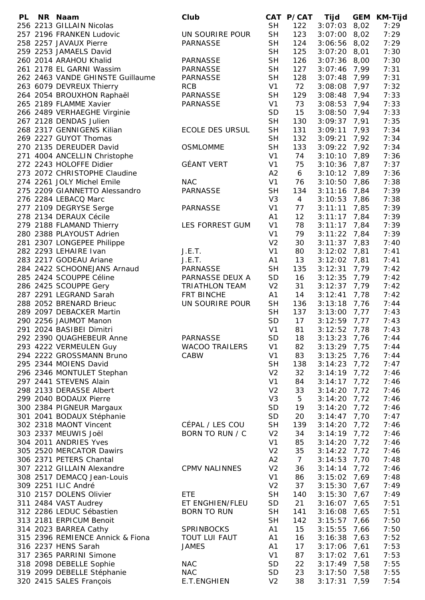| PL | NR Naam                          | Club                  |                      | CAT P/CAT      | Tijd           | GEM  | KM-Tijd      |
|----|----------------------------------|-----------------------|----------------------|----------------|----------------|------|--------------|
|    | 256 2213 GILLAIN Nicolas         |                       | <b>SH</b>            | 122            | $3:07:03$ 8,02 |      | 7:29         |
|    | 257 2196 FRANKEN Ludovic         | UN SOURIRE POUR       | <b>SH</b>            | 123            | $3:07:00$ 8,02 |      | 7:29         |
|    | 258 2257 JAVAUX Pierre           | <b>PARNASSE</b>       | <b>SH</b>            | 124            | $3:06:56$ 8,02 |      | 7:29         |
|    | 259 2253 JAMAELS David           |                       | <b>SH</b>            | 125            | $3:07:20$ 8,01 |      | 7:30         |
|    | 260 2014 ARAHOU Khalid           | PARNASSE              | <b>SH</b>            | 126            | $3:07:36$ 8,00 |      | 7:30         |
|    | 261 2178 EL GARNI Wassim         | PARNASSE              | <b>SH</b>            | 127            | $3:07:46$ 7,99 |      | 7:31         |
|    | 262 2463 VANDE GHINSTE Guillaume | PARNASSE              | <b>SH</b>            | 128            | $3:07:48$ 7,99 |      | 7:31         |
|    | 263 6079 DEVREUX Thierry         | <b>RCB</b>            | V <sub>1</sub>       | 72             | $3:08:08$ 7,97 |      | 7:32         |
|    | 264 2054 BROUXHON Raphaël        | PARNASSE              | <b>SH</b>            | 129            | $3:08:48$ 7,94 |      | 7:33         |
|    | 265 2189 FLAMME Xavier           | PARNASSE              | V1                   | 73             | $3:08:53$ 7,94 |      | 7:33         |
|    | 266 2489 VERHAEGHE Virginie      |                       | <b>SD</b>            | 15             | $3:08:50$ 7,94 |      | 7:33         |
|    | 267 2128 DENDAS Julien           |                       | <b>SH</b>            | 130            | $3:09:37$ 7,91 |      | 7:35         |
|    | 268 2317 GENNIGENS Kilian        | ECOLE DES URSUL       | <b>SH</b>            | 131            | $3:09:11$ 7,93 |      | 7:34         |
|    | 269 2227 GUYOT Thomas            |                       | <b>SH</b>            | 132            | $3:09:21$ 7,92 |      | 7:34         |
|    | 270 2135 DEREUDER David          | <b>OSMLOMME</b>       | <b>SH</b>            | 133            | $3:09:22$ 7,92 |      | 7:34         |
|    | 271 4004 ANCELLIN Christophe     |                       | V <sub>1</sub>       | 74             | $3:10:10$ 7,89 |      | 7:36         |
|    | 272 2243 HOLOFFE Didier          | <b>GÉANT VERT</b>     | V <sub>1</sub>       | 75             | $3:10:36$ 7,87 |      | 7:37         |
|    | 273 2072 CHRISTOPHE Claudine     |                       | A2                   | 6              | $3:10:12$ 7,89 |      | 7:36         |
|    | 274 2261 JOLY Michel Emile       | <b>NAC</b>            | V <sub>1</sub>       | 76             | $3:10:50$ 7,86 |      | 7:38         |
|    | 275 2209 GIANNETTO Alessandro    | PARNASSE              | <b>SH</b>            | 134            | $3:11:16$ 7,84 |      | 7:39         |
|    | 276 2284 LEBACQ Marc             |                       | V <sub>3</sub>       | $\overline{4}$ | $3:10:53$ 7,86 |      | 7:38         |
|    | 277 2109 DEGRYSE Serge           | <b>PARNASSE</b>       | V1                   | 77             | $3:11:11$ 7,85 |      | 7:39         |
|    | 278 2134 DERAUX Cécile           |                       | A1                   | 12             | $3:11:17$ 7,84 |      | 7:39         |
|    | 279 2188 FLAMAND Thierry         | LES FORREST GUM       | V <sub>1</sub>       | 78             | $3:11:17$ 7,84 |      | 7:39         |
|    | 280 2388 PLAYOUST Adrien         |                       | V <sub>1</sub>       | 79             | $3:11:22$ 7,84 |      | 7:39         |
|    | 281 2307 LONGEPEE Philippe       |                       | V <sub>2</sub>       | 30             | $3:11:37$ 7,83 |      | 7:40         |
|    | 282 2293 LEHAIRE Ivan            | J.E.T.                | V <sub>1</sub>       | 80             | $3:12:02$ 7,81 |      | 7:41         |
|    | 283 2217 GODEAU Ariane           | J.E.T.                | A1                   | 13             | $3:12:02$ 7,81 |      | 7:41         |
|    | 284 2422 SCHOONEJANS Arnaud      | PARNASSE              | <b>SH</b>            | 135            | $3:12:31$ 7,79 |      | 7:42         |
|    | 285 2424 SCOUPPE Céline          | PARNASSE DEUX A       | SD                   | 16             | $3:12:35$ 7,79 |      | 7:42         |
|    | 286 2425 SCOUPPE Gery            | <b>TRIATHLON TEAM</b> | V <sub>2</sub>       | 31             | $3:12:37$ 7,79 |      | 7:42         |
|    | 287 2291 LEGRAND Sarah           | FRT BINCHE            |                      | 14             | $3:12:41$ 7,78 |      | 7:42         |
|    |                                  |                       | A1                   |                |                |      |              |
|    | 288 2052 BRENARD Brieuc          | UN SOURIRE POUR       | <b>SH</b>            | 136            | $3:13:18$ 7,76 |      | 7:44         |
|    | 289 2097 DEBACKER Martin         |                       | <b>SH</b>            | 137            | $3:13:00$ 7,77 |      | 7:43         |
|    | 290 2256 JAUMOT Manon            |                       | SD<br>V <sub>1</sub> | 17<br>81       | $3:12:59$ 7,77 |      | 7:43<br>7:43 |
|    | 291 2024 BASIBEI Dimitri         |                       |                      |                | 3:12:52        | 7,78 |              |
|    | 292 2390 QUAGHEBEUR Anne         | <b>PARNASSE</b>       | <b>SD</b>            | 18             | 3:13:23        | 7,76 | 7:44         |
|    | 293 4222 VERMEULEN Guy           | <b>WACOO TRAILERS</b> | V <sub>1</sub>       | 82             | 3:13:29        | 7,75 | 7:44         |
|    | 294 2222 GROSSMANN Bruno         | CABW                  | V <sub>1</sub>       | 83             | 3:13:25        | 7,76 | 7:44         |
|    | 295 2344 MOIENS David            |                       | <b>SH</b>            | 138            | 3:14:23        | 7,72 | 7:47         |
|    | 296 2346 MONTULET Stephan        |                       | V <sub>2</sub>       | 32             | $3:14:19$ 7,72 |      | 7:46         |
|    | 297 2441 STEVENS Alain           |                       | V <sub>1</sub>       | 84             | 3:14:17        | 7,72 | 7:46         |
|    | 298 2133 DERASSE Albert          |                       | V <sub>2</sub>       | 33             | 3:14:20        | 7,72 | 7:46         |
|    | 299 2040 BODAUX Pierre           |                       | V <sub>3</sub>       | 5              | 3:14:20        | 7,72 | 7:46         |
|    | 300 2384 PIGNEUR Margaux         |                       | <b>SD</b>            | 19             | 3:14:20        | 7,72 | 7:46         |
|    | 301 2041 BODAUX Stéphanie        |                       | <b>SD</b>            | 20             | 3:14:47        | 7,70 | 7:47         |
|    | 302 2318 MAONT Vincent           | CÉPAL / LES COU       | <b>SH</b>            | 139            | 3:14:20        | 7,72 | 7:46         |
|    | 303 2337 MEUWIS Joël             | BORN TO RUN / C       | V <sub>2</sub>       | 34             | 3:14:19        | 7,72 | 7:46         |
|    | 304 2011 ANDRIES Yves            |                       | V <sub>1</sub>       | 85             | 3:14:20        | 7,72 | 7:46         |
|    | 305 2520 MERCATOR Dawirs         |                       | V <sub>2</sub>       | 35             | $3:14:22$ 7,72 |      | 7:46         |
|    | 306 2371 PETERS Chantal          |                       | A2                   | $\overline{7}$ | 3:14:53        | 7,70 | 7:48         |
|    | 307 2212 GILLAIN Alexandre       | <b>CPMV NALINNES</b>  | V <sub>2</sub>       | 36             | $3:14:14$ 7,72 |      | 7:46         |
|    | 308 2517 DEMACQ Jean-Louis       |                       | V <sub>1</sub>       | 86             | $3:15:02$ 7,69 |      | 7:48         |
|    | 309 2251 ILIC André              |                       | V <sub>2</sub>       | 37             | 3:15:30        | 7,67 | 7:49         |
|    | 310 2157 DOLENS Olivier          | <b>ETE</b>            | <b>SH</b>            | 140            | 3:15:30        | 7,67 | 7:49         |
|    | 311 2484 VAST Audrey             | ET ENGHIEN/FLEU       | SD                   | 21             | 3:16:07        | 7,65 | 7:51         |
|    | 312 2286 LEDUC Sébastien         | <b>BORN TO RUN</b>    | <b>SH</b>            | 141            | 3:16:08        | 7,65 | 7:51         |
|    | 313 2181 ERPICUM Benoit          |                       | <b>SH</b>            | 142            | 3:15:57        | 7,66 | 7:50         |
|    | 314 2023 BARREA Cathy            | <b>SPRINBOCKS</b>     | A1                   | 15             | 3:15:55        | 7,66 | 7:50         |
|    | 315 2396 REMIENCE Annick & Fiona | <b>TOUT LUI FAUT</b>  | A1                   | 16             | 3:16:38        | 7,63 | 7:52         |
|    | 316 2237 HENS Sarah              | <b>JAMES</b>          | A1                   | 17             | 3:17:06        | 7,61 | 7:53         |
|    | 317 2365 PARRINI Simone          |                       | V <sub>1</sub>       | 87             | 3:17:02        | 7,61 | 7:53         |
|    | 318 2098 DEBELLE Sophie          | <b>NAC</b>            | <b>SD</b>            | 22             | $3:17:49$ 7,58 |      | 7:55         |
|    | 319 2099 DEBELLE Stéphanie       | <b>NAC</b>            | <b>SD</b>            | 23             | 3:17:50        | 7,58 | 7:55         |
|    | 320 2415 SALES François          | E.T.ENGHIEN           | V <sub>2</sub>       | 38             | 3:17:31        | 7,59 | 7:54         |
|    |                                  |                       |                      |                |                |      |              |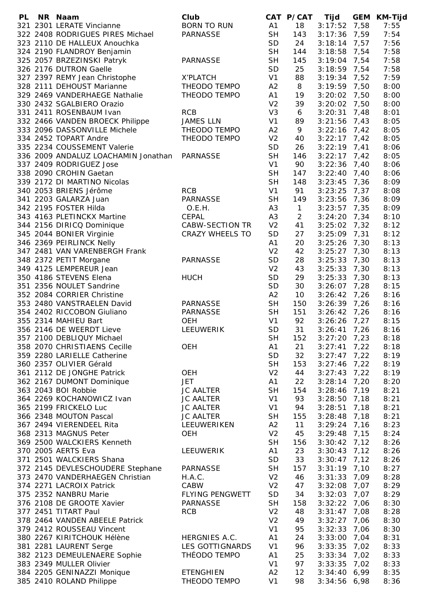| <b>PL</b> | NR Naam                             | Club                   |                | CAT P/CAT      | Tijd           |      | GEM KM-Tijd |
|-----------|-------------------------------------|------------------------|----------------|----------------|----------------|------|-------------|
|           | 321 2301 LERATE Vincianne           | <b>BORN TO RUN</b>     | A1             | 18             | $3:17:52$ 7,58 |      | 7:55        |
|           | 322 2408 RODRIGUES PIRES Michael    | <b>PARNASSE</b>        | <b>SH</b>      | 143            | $3:17:36$ 7,59 |      | 7:54        |
|           | 323 2110 DE HALLEUX Anouchka        |                        | SD             | 24             | $3:18:14$ 7,57 |      | 7:56        |
|           | 324 2190 FLANDROY Benjamin          |                        | <b>SH</b>      | 144            | $3:18:58$ 7,54 |      | 7:58        |
|           | 325 2057 BRZEZINSKI Patryk          | <b>PARNASSE</b>        | <b>SH</b>      | 145            | $3:19:04$ 7,54 |      | 7:58        |
|           | 326 2176 DUTRON Gaelle              |                        | <b>SD</b>      | 25             | $3:18:59$ 7,54 |      | 7:58        |
|           | 327 2397 REMY Jean Christophe       | X'PLATCH               | V <sub>1</sub> | 88             | $3:19:34$ 7,52 |      | 7:59        |
|           | 328 2111 DEHOUST Marianne           | THEODO TEMPO           | A2             | 8              | $3:19:59$ 7,50 |      | 8:00        |
|           | 329 2469 VANDERHAEGE Nathalie       | THEODO TEMPO           | A1             | 19             | $3:20:02$ 7,50 |      | 8:00        |
|           | 330 2432 SGALBIERO Orazio           |                        | V <sub>2</sub> | 39             | $3:20:02$ 7,50 |      | 8:00        |
|           | 331 2411 ROSENBAUM Ivan             | <b>RCB</b>             | V <sub>3</sub> | 6              | $3:20:31$ 7,48 |      | 8:01        |
|           | 332 2466 VANDEN BROECK Philippe     | <b>JAMES LLN</b>       | V <sub>1</sub> | 89             | 3:21:56        | 7,43 | 8:05        |
|           | 333 2096 DASSONVILLE Michele        | THEODO TEMPO           | A2             | 9              | $3:22:16$ 7,42 |      | 8:05        |
|           | 334 2452 TOPART Andre               | THEODO TEMPO           | V <sub>2</sub> | 40             | $3:22:17$ 7,42 |      | 8:05        |
|           | 335 2234 COUSSEMENT Valerie         |                        | <b>SD</b>      | 26             | $3:22:19$ 7,41 |      | 8:06        |
|           | 336 2009 ANDALUZ LOACHAMIN Jonathan | <b>PARNASSE</b>        | <b>SH</b>      | 146            | $3:22:17$ 7,42 |      | 8:05        |
|           | 337 2409 RODRIGUEZ Jose             |                        | V <sub>1</sub> | 90             | $3:22:36$ 7,40 |      | 8:06        |
|           | 338 2090 CROHIN Gaetan              |                        | <b>SH</b>      | 147            | $3:22:40$ 7,40 |      | 8:06        |
|           | 339 2172 DI MARTINO Nicolas         |                        | <b>SH</b>      | 148            | $3:23:45$ 7,36 |      | 8:09        |
|           | 340 2053 BRIENS Jérôme              | <b>RCB</b>             | V <sub>1</sub> | 91             | $3:23:25$ 7,37 |      | 8:08        |
|           | 341 2203 GALARZA Juan               | <b>PARNASSE</b>        | <b>SH</b>      |                |                |      |             |
|           |                                     |                        |                | 149            | $3:23:56$ 7,36 |      | 8:09        |
|           | 342 2195 FOSTER Hilda               | O.E.H.                 | A <sub>3</sub> | $\mathbf{1}$   | $3:23:57$ 7,35 |      | 8:09        |
|           | 343 4163 PLETINCKX Martine          | <b>CEPAL</b>           | A <sub>3</sub> | $\overline{2}$ | $3:24:20$ 7,34 |      | 8:10        |
|           | 344 2156 DIRICQ Dominique           | CABW-SECTION TR        | V <sub>2</sub> | 41             | $3:25:02$ 7,32 |      | 8:12        |
|           | 345 2044 BONIER Virginie            | CRAZY WHEELS TO        | <b>SD</b>      | 27             | $3:25:09$ 7,31 |      | 8:12        |
|           | 346 2369 PEIRLINCK Nelly            |                        | A1             | 20             | $3:25:26$ 7,30 |      | 8:13        |
|           | 347 2481 VAN VARENBERGH Frank       |                        | V <sub>2</sub> | 42             | $3:25:27$ 7,30 |      | 8:13        |
|           | 348 2372 PETIT Morgane              | <b>PARNASSE</b>        | <b>SD</b>      | 28             | $3:25:33$ 7,30 |      | 8:13        |
|           | 349 4125 LEMPEREUR Jean             |                        | V <sub>2</sub> | 43             | $3:25:33$ 7,30 |      | 8:13        |
|           | 350 4186 STEVENS Elena              | <b>HUCH</b>            | <b>SD</b>      | 29             | $3:25:33$ 7,30 |      | 8:13        |
|           | 351 2356 NOULET Sandrine            |                        | <b>SD</b>      | 30             | $3:26:07$ 7,28 |      | 8:15        |
|           | 352 2084 CORRIER Christine          |                        | A2             | 10             | $3:26:42$ 7,26 |      | 8:16        |
|           | 353 2480 VANSTRAELEN David          | PARNASSE               | <b>SH</b>      | 150            | $3:26:39$ 7,26 |      | 8:16        |
|           | 354 2402 RICCOBON Giuliano          | <b>PARNASSE</b>        | <b>SH</b>      | 151            | $3:26:42$ 7,26 |      | 8:16        |
|           | 355 2314 MAHIEU Bart                | <b>OEH</b>             | V <sub>1</sub> | 92             | $3:26:26$ 7,27 |      | 8:15        |
|           | 356 2146 DE WEERDT Lieve            | LEEUWERIK              | <b>SD</b>      | 31             | 3:26:41        | 7,26 | 8:16        |
|           | 357 2100 DEBLIQUY Michael           |                        | <b>SH</b>      | 152            | 3:27:20        | 7,23 | 8:18        |
|           | 358 2070 CHRISTIAENS Cecille        | OEH                    | A1             | 21             | 3:27:41        | 7,22 | 8:18        |
|           | 359 2280 LARIELLE Catherine         |                        | <b>SD</b>      | 32             | $3:27:47$ 7,22 |      | 8:19        |
|           | 360 2357 OLIVIER Gérald             |                        | <b>SH</b>      | 153            | 3:27:46        | 7,22 | 8:19        |
|           | 361 2112 DE JONGHE Patrick          | OEH                    | V <sub>2</sub> | 44             | $3:27:43$ 7,22 |      | 8:19        |
|           | 362 2167 DUMONT Dominique           | <b>JET</b>             | A1             | 22             | $3:28:14$ 7,20 |      | 8:20        |
|           | 363 2043 BOI Robbie                 | <b>JC AALTER</b>       | <b>SH</b>      | 154            | 3:28:46        | 7,19 | 8:21        |
|           | 364 2269 KOCHANOWICZ Ivan           | <b>JC AALTER</b>       | V <sub>1</sub> | 93             | 3:28:50        | 7,18 | 8:21        |
|           | 365 2199 FRICKELO Luc               | <b>JC AALTER</b>       | V <sub>1</sub> | 94             | 3:28:51        | 7,18 | 8:21        |
|           | 366 2348 MOUTON Pascal              | <b>JC AALTER</b>       | <b>SH</b>      | 155            | 3:28:48        | 7,18 | 8:21        |
|           | 367 2494 VIERENDEEL Rita            | LEEUWERIKEN            | A2             | 11             | 3:29:24        |      | 8:23        |
|           | 368 2313 MAGNUS Peter               |                        | V <sub>2</sub> |                |                | 7,16 |             |
|           |                                     | <b>OEH</b>             |                | 45             | 3:29:48        | 7,15 | 8:24        |
|           | 369 2500 WALCKIERS Kenneth          |                        | <b>SH</b>      | 156            | $3:30:42$ 7,12 |      | 8:26        |
|           | 370 2005 AERTS Eva                  | LEEUWERIK              | A1             | 23             | 3:30:43        | 7,12 | 8:26        |
|           | 371 2501 WALCKIERS Shana            |                        | <b>SD</b>      | 33             | 3:30:47        | 7,12 | 8:26        |
|           | 372 2145 DEVLESCHOUDERE Stephane    | <b>PARNASSE</b>        | <b>SH</b>      | 157            | $3:31:19$ 7,10 |      | 8:27        |
|           | 373 2470 VANDERHAEGEN Christian     | H.A.C.                 | V <sub>2</sub> | 46             | 3:31:33        | 7,09 | 8:28        |
|           | 374 2271 LACROIX Patrick            | CABW                   | V <sub>2</sub> | 47             | 3:32:08        | 7,07 | 8:29        |
|           | 375 2352 NANBRU Marie               | <b>FLYING PENGWETT</b> | <b>SD</b>      | 34             | 3:32:03        | 7,07 | 8:29        |
|           | 376 2108 DE GROOTE Xavier           | <b>PARNASSE</b>        | <b>SH</b>      | 158            | $3:32:22$ 7,06 |      | 8:30        |
|           | 377 2451 TITART Paul                | <b>RCB</b>             | V <sub>2</sub> | 48             | $3:31:47$ 7,08 |      | 8:28        |
|           | 378 2464 VANDEN ABEELE Patrick      |                        | V <sub>2</sub> | 49             | 3:32:27        | 7,06 | 8:30        |
|           | 379 2412 ROUSSEAU Vincent           |                        | V <sub>1</sub> | 95             | 3:32:33        | 7,06 | 8:30        |
|           | 380 2267 KIRITCHOUK Hélène          | HERGNIES A.C.          | A1             | 24             | 3:33:00        | 7,04 | 8:31        |
|           | 381 2281 LAURENT Serge              | LES GOTTIGNARDS        | V <sub>1</sub> | 96             | 3:33:35        | 7,02 | 8:33        |
|           | 382 2123 DEMEULENAERE Sophie        | THÉODO TEMPO           | A1             | 25             | $3:33:34$ 7,02 |      | 8:33        |
|           | 383 2349 MULLER Olivier             |                        | V <sub>1</sub> | 97             | 3:33:35        | 7,02 | 8:33        |
|           | 384 2205 GENINAZZI Monique          | <b>ETENGHIEN</b>       | A2             | 12             | 3:34:406,99    |      | 8:35        |
|           | 385 2410 ROLAND Philippe            | THEODO TEMPO           | V <sub>1</sub> | 98             | $3:34:56$ 6,98 |      | 8:36        |
|           |                                     |                        |                |                |                |      |             |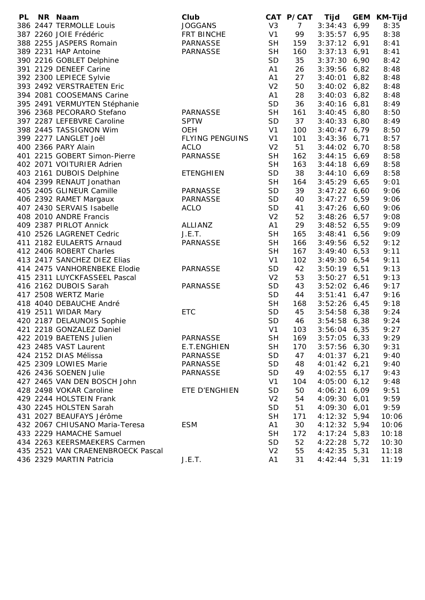| <b>PL</b> | NR Naam                           | Club                   |                | CAT P/CAT      | Tijd           | <b>GEM</b> | <b>KM-Tijd</b> |
|-----------|-----------------------------------|------------------------|----------------|----------------|----------------|------------|----------------|
|           | 386 2447 TERMOLLE Louis           | <b>JOGGANS</b>         | V <sub>3</sub> | $\overline{7}$ | 3:34:43        | 6,99       | 8:35           |
|           | 387 2260 JOIE Frédéric            | FRT BINCHE             | V <sub>1</sub> | 99             | $3:35:57$ 6,95 |            | 8:38           |
|           | 388 2255 JASPERS Romain           | <b>PARNASSE</b>        | <b>SH</b>      | 159            | $3:37:12$ 6,91 |            | 8:41           |
|           | 389 2231 HAP Antoine              | <b>PARNASSE</b>        | <b>SH</b>      | 160            | $3:37:13$ 6,91 |            | 8:41           |
|           | 390 2216 GOBLET Delphine          |                        | <b>SD</b>      | 35             | $3:37:30$ 6,90 |            | 8:42           |
|           | 391 2129 DENEEF Carine            |                        | A1             | 26             | $3:39:56$ 6,82 |            | 8:48           |
|           | 392 2300 LEPIECE Sylvie           |                        | A1             | 27             | $3:40:01$ 6,82 |            | 8:48           |
|           | 393 2492 VERSTRAETEN Eric         |                        | V <sub>2</sub> | 50             | $3:40:02$ 6,82 |            | 8:48           |
|           | 394 2081 COOSEMANS Carine         |                        | A1             | 28             | $3:40:03$ 6,82 |            | 8:48           |
|           | 395 2491 VERMUYTEN Stéphanie      |                        | <b>SD</b>      | 36             | $3:40:16$ 6,81 |            | 8:49           |
|           | 396 2368 PECORARO Stefano         | <b>PARNASSE</b>        | <b>SH</b>      | 161            | $3:40:45$ 6,80 |            | 8:50           |
|           | 397 2287 LEFEBVRE Caroline        | <b>SPTW</b>            | SD             | 37             | $3:40:33$ 6,80 |            | 8:49           |
|           | 398 2445 TASSIGNON Wim            | <b>OEH</b>             | V <sub>1</sub> | 100            | $3:40:47$ 6,79 |            | 8:50           |
|           | 399 2277 LANGLET Joël             | <b>FLYING PENGUINS</b> | V <sub>1</sub> | 101            | $3:43:36$ 6,71 |            | 8:57           |
|           | 400 2366 PARY Alain               | <b>ACLO</b>            | V <sub>2</sub> | 51             | $3:44:02$ 6,70 |            | 8:58           |
|           | 401 2215 GOBERT Simon-Pierre      | <b>PARNASSE</b>        | <b>SH</b>      | 162            | $3:44:15$ 6,69 |            | 8:58           |
|           | 402 2071 VOITURIER Adrien         |                        | <b>SH</b>      | 163            | $3:44:18$ 6,69 |            | 8:58           |
|           | 403 2161 DUBOIS Delphine          | <b>ETENGHIEN</b>       | SD             | 38             | $3:44:10$ 6,69 |            | 8:58           |
|           | 404 2399 RENAUT Jonathan          |                        | <b>SH</b>      | 164            | $3:45:29$ 6,65 |            | 9:01           |
|           | 405 2405 GLINEUR Camille          | <b>PARNASSE</b>        | SD             | 39             | $3:47:22$ 6,60 |            | 9:06           |
|           | 406 2392 RAMET Margaux            | <b>PARNASSE</b>        | <b>SD</b>      | 40             | $3:47:27$ 6,59 |            | 9:06           |
|           | 407 2430 SERVAIS Isabelle         | <b>ACLO</b>            | SD             | 41             | $3:47:26$ 6,60 |            | 9:06           |
|           | 408 2010 ANDRE Francis            |                        | V <sub>2</sub> | 52             | $3:48:26$ 6,57 |            | 9:08           |
|           | 409 2387 PIRLOT Annick            | ALLIANZ                | A1             | 29             | $3:48:52$ 6,55 |            | 9:09           |
|           | 410 2526 LAGRENET Cedric          | J.E.T.                 | <b>SH</b>      | 165            | $3:48:41$ 6,56 |            | 9:09           |
|           | 411 2182 EULAERTS Arnaud          | <b>PARNASSE</b>        | <b>SH</b>      | 166            | $3:49:56$ 6,52 |            | 9:12           |
|           | 412 2406 ROBERT Charles           |                        | <b>SH</b>      | 167            | $3:49:40$ 6,53 |            | 9:11           |
|           | 413 2417 SANCHEZ DIEZ Elias       |                        | V <sub>1</sub> | 102            | $3:49:30$ 6,54 |            | 9:11           |
|           | 414 2475 VANHORENBEKE Elodie      | <b>PARNASSE</b>        | <b>SD</b>      | 42             | $3:50:19$ 6,51 |            | 9:13           |
|           | 415 2311 LUYCKFASSEEL Pascal      |                        | V <sub>2</sub> | 53             | $3:50:27$ 6,51 |            | 9:13           |
|           | 416 2162 DUBOIS Sarah             | <b>PARNASSE</b>        | <b>SD</b>      | 43             | $3:52:02$ 6,46 |            | 9:17           |
|           | 417 2508 WERTZ Marie              |                        | <b>SD</b>      | 44             | $3:51:41$ 6,47 |            | 9:16           |
|           | 418 4040 DEBAUCHE André           |                        | <b>SH</b>      | 168            | $3:52:26$ 6,45 |            | 9:18           |
|           | 419 2511 WIDAR Mary               | <b>ETC</b>             | <b>SD</b>      | 45             | $3:54:58$ 6,38 |            | 9:24           |
|           | 420 2187 DELAUNOIS Sophie         |                        | <b>SD</b>      | 46             | $3:54:58$ 6,38 |            | 9:24           |
|           | 421 2218 GONZALEZ Daniel          |                        | V <sub>1</sub> | 103            | $3:56:04$ 6,35 |            | 9:27           |
|           | 422 2019 BAETENS Julien           | PARNASSE               | <b>SH</b>      | 169            | $3:57:05$ 6,33 |            | 9:29           |
|           | 423 2485 VAST Laurent             | E.T.ENGHIEN            | <b>SH</b>      | 170            | $3:57:56$ 6,30 |            | 9:31           |
|           | 424 2152 DIAS Mélissa             | <b>PARNASSE</b>        | <b>SD</b>      | 47             | $4:01:37$ 6,21 |            | 9:40           |
|           | 425 2309 LOWIES Marie             | <b>PARNASSE</b>        | <b>SD</b>      | 48             | $4:01:42$ 6,21 |            | 9:40           |
|           | 426 2436 SOENEN Julie             | <b>PARNASSE</b>        | <b>SD</b>      | 49             | $4:02:55$ 6,17 |            | 9:43           |
|           | 427 2465 VAN DEN BOSCH John       |                        | V <sub>1</sub> | 104            | $4:05:00$ 6,12 |            | 9:48           |
|           | 428 2498 VOKAR Caroline           | ETE D'ENGHIEN          | <b>SD</b>      | 50             | 4:06:21 6,09   |            | 9:51           |
|           | 429 2244 HOLSTEIN Frank           |                        | V <sub>2</sub> | 54             | $4:09:30$ 6,01 |            | 9:59           |
|           | 430 2245 HOLSTEN Sarah            |                        | <b>SD</b>      | 51             | 4:09:30 6,01   |            | 9:59           |
|           | 431 2027 BEAUFAYS Jérôme          |                        | <b>SH</b>      | 171            | 4:12:32 5,94   |            | 10:06          |
|           | 432 2067 CHIUSANO Maria-Teresa    | <b>ESM</b>             | A <sub>1</sub> | 30             | $4:12:32$ 5,94 |            | 10:06          |
|           | 433 2229 HAMACHE Samuel           |                        | <b>SH</b>      | 172            | $4:17:24$ 5,83 |            | 10:18          |
|           | 434 2263 KEERSMAEKERS Carmen      |                        | <b>SD</b>      | 52             | $4:22:28$ 5,72 |            | 10:30          |
|           | 435 2521 VAN CRAENENBROECK Pascal |                        | V <sub>2</sub> | 55             | $4:42:35$ 5,31 |            | 11:18          |
|           | 436 2329 MARTIN Patricia          | J.E.T.                 | A <sub>1</sub> | 31             | $4:42:44$ 5,31 |            | 11:19          |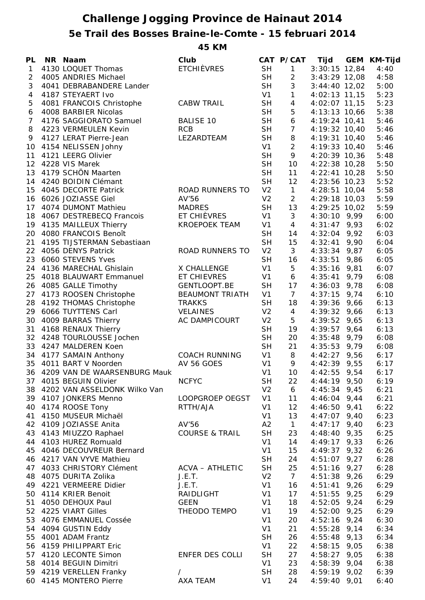## **Challenge Jogging Province de Hainaut 2014 5e Trail des Bosses Braine-le-Comte - 15 februari 2014**

**45 KM**

| PL             | NR Naam                         | Club                      |                | CAT P/CAT        | Tijd            | GEM  | KM-Tijd |
|----------------|---------------------------------|---------------------------|----------------|------------------|-----------------|------|---------|
| $\mathbf{1}$   | 4130 LOQUET Thomas              | <b>ETCHIÈVRES</b>         | <b>SH</b>      | $\mathbf{1}$     | $3:30:15$ 12,84 |      | 4:40    |
| $\overline{2}$ | 4005 ANDRIES Michael            |                           | <b>SH</b>      | $\overline{c}$   | $3:43:29$ 12,08 |      | 4:58    |
| 3              | 4041 DEBRABANDERE Lander        |                           | <b>SH</b>      | 3                | $3:44:40$ 12,02 |      | 5:00    |
| 4              | 4187 STEYAERT Ivo               |                           | V <sub>1</sub> | $\mathbf{1}$     | 4:02:13 11,15   |      | 5:23    |
| 5              | 4081 FRANCOIS Christophe        | <b>CABW TRAIL</b>         | <b>SH</b>      | $\overline{4}$   | 4:02:07 11,15   |      | 5:23    |
| 6              | 4008 BARBIER Nicolas            |                           | <b>SH</b>      | $\mathbf 5$      | 4:13:13 10,66   |      | 5:38    |
| $\overline{7}$ | 4176 SAGGIORATO Samuel          | <b>BALISE 10</b>          | <b>SH</b>      | $\boldsymbol{6}$ | 4:19:24 10,41   |      | 5:46    |
| 8              | 4223 VERMEULEN Kevin            | <b>RCB</b>                | <b>SH</b>      | $\overline{7}$   | 4:19:32 10,40   |      | 5:46    |
| 9              | 4127 LERAT Pierre-Jean          | LEZARDTEAM                | <b>SH</b>      | $\,8\,$          | 4:19:31 10,40   |      | 5:46    |
| 10             | 4154 NELISSEN Johny             |                           | V <sub>1</sub> | $\overline{2}$   | 4:19:33 10,40   |      | 5:46    |
| 11             | 4121 LEERG Olivier              |                           | <b>SH</b>      | 9                | 4:20:39 10,36   |      | 5:48    |
| 12             | 4228 VIS Marek                  |                           | <b>SH</b>      | 10               | 4:22:38 10,28   |      | 5:50    |
| 13             | 4179 SCHÖN Maarten              |                           | <b>SH</b>      | 11               | 4:22:41 10,28   |      | 5:50    |
| 14             | 4240 BOIDIN Clémant             |                           | <b>SH</b>      | 12               | 4:23:56 10,23   |      | 5:52    |
| 15             | 4045 DECORTE Patrick            | ROAD RUNNERS TO           | V <sub>2</sub> | $\mathbf{1}$     | 4:28:51 10,04   |      | 5:58    |
| 16             | 6026 JOZIASSE Giel              | AV'56                     | V <sub>2</sub> | $\overline{2}$   | 4:29:18 10,03   |      | 5:59    |
| 17             | 4074 DUMONT Mathieu             | <b>MADRES</b>             | <b>SH</b>      | 13               | 4:29:25 10,02   |      | 5:59    |
| 18             | 4067 DESTREBECQ Francois        | ET CHIÈVRES               | V <sub>1</sub> | 3                | $4:30:10$ 9,99  |      | 6:00    |
| 19             | 4135 MAILLEUX Thierry           | <b>KROEPOEK TEAM</b>      | V <sub>1</sub> | $\overline{4}$   | $4:31:47$ 9,93  |      | 6:02    |
|                | 4080 FRANCOIS Benoît            |                           |                |                  |                 |      |         |
| 20             |                                 |                           | <b>SH</b>      | 14               | $4:32:04$ 9,92  |      | 6:03    |
| 21             | 4195 TIJSTERMAN Sebastiaan      |                           | <b>SH</b>      | 15               | 4:32:41         | 9,90 | 6:04    |
| 22             | 4056 DENYS Patrick              | ROAD RUNNERS TO           | V <sub>2</sub> | 3                | 4:33:34         | 9,87 | 6:05    |
| 23             | 6060 STEVENS Yves               |                           | <b>SH</b>      | 16               | 4:33:51         | 9,86 | 6:05    |
| 24             | 4136 MARECHAL Ghislain          | X CHALLENGE               | V <sub>1</sub> | 5                | 4:35:16         | 9,81 | 6:07    |
| 25             | 4018 BLAUWART Emmanuel          | ET CHIEVRES               | V <sub>1</sub> | 6                | 4:35:41         | 9,79 | 6:08    |
| 26             | 4085 GALLE Timothy              | GENTLOOPT.BE              | <b>SH</b>      | 17               | 4:36:03         | 9,78 | 6:08    |
| 27             | 4173 ROOSEN Christophe          | <b>BEAUMONT TRIATH</b>    | V <sub>1</sub> | $\overline{7}$   | 4:37:15         | 9,74 | 6:10    |
| 28             | 4192 THOMAS Christophe          | <b>TRAKKS</b>             | <b>SH</b>      | 18               | 4:39:36         | 9,66 | 6:13    |
| 29             | 6066 TUYTTENS Carl              | <b>VELAINES</b>           | V <sub>2</sub> | 4                | 4:39:32 9,66    |      | 6:13    |
| 30             | 4009 BARRAS Thierry             | AC DAMPICOURT             | V <sub>2</sub> | 5                | 4:39:52         | 9,65 | 6:13    |
| 31             | 4168 RENAUX Thierry             |                           | <b>SH</b>      | 19               | $4:39:57$ 9,64  |      | 6:13    |
|                | 32 4248 TOURLOUSSE Jochen       |                           | <b>SH</b>      | 20               | $4:35:48$ 9,79  |      | 6:08    |
|                | 33 4247 MALDEREN Koen           |                           | <b>SH</b>      | 21               | $4:35:53$ 9,79  |      | 6:08    |
|                | 34 4177 SAMAIN Anthony          | <b>COACH RUNNING</b>      | V <sub>1</sub> | 8                | $4:42:27$ 9,56  |      | 6:17    |
|                | 35 4011 BART V Noorden          | AV 56 GOES                | V <sub>1</sub> | 9                | $4:42:39$ 9,55  |      | 6:17    |
|                | 36 4209 VAN DE WAARSENBURG Mauk |                           | V <sub>1</sub> | 10               | $4:42:55$ 9,54  |      | 6:17    |
| 37             | 4015 BEGUIN Olivier             | <b>NCFYC</b>              | <b>SH</b>      | 22               | 4:44:19 9,50    |      | 6:19    |
|                | 38 4202 VAN ASSELDONK Wilko Van |                           | V <sub>2</sub> | 6                | $4:45:34$ 9,45  |      | 6:21    |
|                | 39 4107 JONKERS Menno           | LOOPGROEP OEGST           | V <sub>1</sub> | 11               | $4:46:04$ 9,44  |      | 6:21    |
| 40             | 4174 ROOSE Tony                 | RTTH/AJA                  | V <sub>1</sub> | 12               | $4:46:50$ 9,41  |      | 6:22    |
| 41             | 4150 MUSEUR Michaël             |                           | V <sub>1</sub> | 13               | $4:47:07$ 9,40  |      | 6:23    |
| 42             | 4109 JOZIASSE Anita             | AV'56                     | A2             | $\mathbf{1}$     | 4:47:17         | 9,40 | 6:23    |
| 43             | 4143 MIUZZO Raphael             | <b>COURSE &amp; TRAIL</b> | <b>SH</b>      | 23               | 4:48:40         | 9,35 | 6:25    |
| 44             | 4103 HUREZ Romuald              |                           | V <sub>1</sub> | 14               | 4:49:17         | 9,33 | 6:26    |
| 45             | 4046 DECOUVREUR Bernard         |                           | V <sub>1</sub> | 15               | 4:49:37         | 9,32 | 6:26    |
| 46             | 4217 VAN VYVE Mathieu           |                           | <b>SH</b>      | 24               | 4:51:07         | 9,27 | 6:28    |
| 47             | 4033 CHRISTORY Clément          | ACVA - ATHLETIC           | <b>SH</b>      | 25               | 4:51:16         | 9,27 | 6:28    |
| 48             | 4075 DURITA Zolika              | J.E.T.                    | V <sub>2</sub> | $\overline{7}$   | 4:51:38         | 9,26 | 6:29    |
| 49             | 4221 VERMEERE Didier            | J.E.T.                    | V <sub>1</sub> | 16               | 4:51:41         | 9,26 | 6:29    |
|                | 4114 KRIER Benoit               | RAIDLIGHT                 | V <sub>1</sub> | 17               | 4:51:55         | 9,25 | 6:29    |
| 50             |                                 |                           |                |                  |                 |      |         |
| 51             | 4050 DEHOUX Paul                | <b>GEEN</b>               | V <sub>1</sub> | 18               | 4:52:05         | 9,24 | 6:29    |
| 52             | 4225 VIART Gilles               | THEODO TEMPO              | V <sub>1</sub> | 19               | 4:52:00         | 9,25 | 6:29    |
| 53             | 4076 EMMANUEL Cossée            |                           | V <sub>1</sub> | 20               | 4:52:16         | 9,24 | 6:30    |
| 54             | 4094 GUSTIN Eddy                |                           | V <sub>1</sub> | 21               | 4:55:28         | 9,14 | 6:34    |
| 55             | 4001 ADAM Frantz                |                           | <b>SH</b>      | 26               | 4:55:48         | 9,13 | 6:34    |
| 56             | 4159 PHILIPPART Eric            |                           | V <sub>1</sub> | 22               | 4:58:15         | 9,05 | 6:38    |
| 57             | 4120 LECONTE Simon              | ENFER DES COLLI           | <b>SH</b>      | 27               | 4:58:27         | 9,05 | 6:38    |
| 58             | 4014 BEGUIN Dimitri             |                           | V <sub>1</sub> | 23               | 4:58:39         | 9,04 | 6:38    |
|                | 59 4219 VERELLEN Franky         | $\sqrt{2}$                | <b>SH</b>      | 28               | 4:59:19         | 9,02 | 6:39    |
|                | 60 4145 MONTERO Pierre          | AXA TEAM                  | V <sub>1</sub> | 24               | $4:59:40$ 9,01  |      | 6:40    |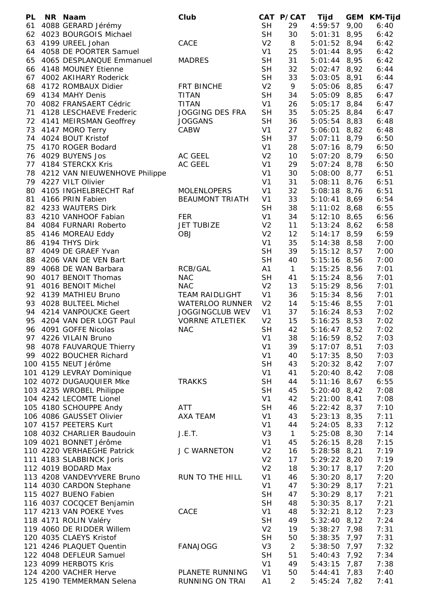| PL | NR Naam                          | Club                   |                | CAT P/CAT    | Tijd             |      | GEM KM-Tijd |
|----|----------------------------------|------------------------|----------------|--------------|------------------|------|-------------|
| 61 | 4088 GERARD Jérémy               |                        | <b>SH</b>      | 29           | $4:59:57$ 9,00   |      | 6:40        |
| 62 | 4023 BOURGOIS Michael            |                        | <b>SH</b>      | 30           | 5:01:31          | 8,95 | 6:42        |
| 63 | 4199 UREEL Johan                 | CACE                   | V <sub>2</sub> | 8            | 5:01:52 8,94     |      | 6:42        |
|    | 64 4058 DE POORTER Samuel        |                        | V <sub>1</sub> | 25           | $5:01:44$ 8,95   |      | 6:42        |
| 65 | 4065 DESPLANQUE Emmanuel         | <b>MADRES</b>          | <b>SH</b>      | 31           | $5:01:44$ 8,95   |      | 6:42        |
|    | 66 4148 MOUNEY Etienne           |                        | <b>SH</b>      | 32           | $5:02:47$ 8,92   |      | 6:44        |
|    | 67 4002 AKIHARY Roderick         |                        | <b>SH</b>      | 33           | 5:03:05 8,91     |      | 6:44        |
|    | 68 4172 ROMBAUX Didier           | FRT BINCHE             | V <sub>2</sub> | 9            | 5:05:06 8,85     |      | 6:47        |
|    | 69 4134 MAHY Denis               | <b>TITAN</b>           | <b>SH</b>      | 34           | 5:05:09 8,85     |      | 6:47        |
|    | 70 4082 FRANSAERT Cédric         | <b>TITAN</b>           | V <sub>1</sub> | 26           | $5:05:17$ 8,84   |      | 6:47        |
|    | 71 4128 LESCHAEVE Frederic       | <b>JOGGING DES FRA</b> | <b>SH</b>      | 35           | $5:05:25$ 8,84   |      | 6:47        |
|    | 72 4141 MEIRSMAN Geoffrey        | <b>JOGGANS</b>         | <b>SH</b>      | 36           | $5:05:54$ 8,83   |      | 6:48        |
| 73 | 4147 MORO Terry                  | CABW                   | V <sub>1</sub> | 27           | 5:06:01          | 8,82 | 6:48        |
| 74 | 4024 BOUT Kristof                |                        | <b>SH</b>      | 37           | $5:07:11$ 8,79   |      | 6:50        |
| 75 | 4170 ROGER Bodard                |                        | V <sub>1</sub> | 28           | $5:07:16$ 8,79   |      | 6:50        |
|    | 76 4029 BUYENS Jos               | AC GEEL                | V <sub>2</sub> | 10           | $5:07:20$ 8,79   |      | 6:50        |
| 77 | 4184 STERCKX Kris                | AC GEEL                | V <sub>1</sub> | 29           | $5:07:24$ 8,78   |      | 6:50        |
|    | 78 4212 VAN NIEUWENHOVE Philippe |                        | V <sub>1</sub> | 30           | 5:08:00 8,77     |      | 6:51        |
|    | 79 4227 VILT Olivier             |                        | V <sub>1</sub> | 31           | 5:08:11          | 8,76 | 6:51        |
| 80 | 4105 INGHELBRECHT Raf            | <b>MOLENLOPERS</b>     | V <sub>1</sub> | 32           | $5:08:18$ 8,76   |      | 6:51        |
| 81 | 4166 PRIN Fabien                 | <b>BEAUMONT TRIATH</b> | V <sub>1</sub> | 33           | $5:10:41$ 8,69   |      | 6:54        |
| 82 | 4233 WAUTERS Dirk                |                        | <b>SH</b>      | 38           | $5:11:02$ 8,68   |      | 6:55        |
| 83 | 4210 VANHOOF Fabian              | <b>FER</b>             | V <sub>1</sub> | 34           | $5:12:10$ 8,65   |      | 6:56        |
| 84 | 4084 FURNARI Roberto             | <b>JET TUBIZE</b>      | V <sub>2</sub> | 11           | $5:13:24$ 8,62   |      | 6:58        |
|    |                                  | <b>OBJ</b>             | V <sub>2</sub> |              |                  |      |             |
| 85 | 4146 MOREAU Eddy                 |                        |                | 12           | $5:14:17$ 8,59   |      | 6:59        |
| 86 | 4194 THYS Dirk                   |                        | V <sub>1</sub> | 35           | $5:14:38$ $8,58$ |      | 7:00        |
| 87 | 4049 DE GRAEF Yvan               |                        | <b>SH</b>      | 39           | $5:15:12$ 8,57   |      | 7:00        |
| 88 | 4206 VAN DE VEN Bart             |                        | <b>SH</b>      | 40           | 5:15:16 8,56     |      | 7:00        |
| 89 | 4068 DE WAN Barbara              | RCB/GAL                | A1             | $\mathbf{1}$ | $5:15:25$ 8,56   |      | 7:01        |
| 90 | 4017 BENOIT Thomas               | <b>NAC</b>             | <b>SH</b>      | 41           | $5:15:24$ 8,56   |      | 7:01        |
| 91 | 4016 BENOIT Michel               | <b>NAC</b>             | V <sub>2</sub> | 13           | $5:15:29$ 8,56   |      | 7:01        |
|    | 92 4139 MATHIEU Bruno            | <b>TEAM RAIDLIGHT</b>  | V <sub>1</sub> | 36           | 5:15:34 8,56     |      | 7:01        |
| 93 | 4028 BULTEEL Michel              | WATERLOO RUNNER        | V <sub>2</sub> | 14           | $5:15:46$ 8,55   |      | 7:01        |
|    | 94 4214 VANPOUCKE Geert          | <b>JOGGINGCLUB WEV</b> | V <sub>1</sub> | 37           | $5:16:24$ 8,53   |      | 7:02        |
| 95 | 4204 VAN DER LOGT Paul           | <b>VORRNE ATLETIEK</b> | V <sub>2</sub> | 15           | $5:16:25$ 8,53   |      | 7:02        |
| 96 | 4091 GOFFE Nicolas               | <b>NAC</b>             | <b>SH</b>      | 42           | $5:16:47$ 8,52   |      | 7:02        |
|    | 97 4226 VILAIN Bruno             |                        | V <sub>1</sub> | 38           | $5:16:59$ 8,52   |      | 7:03        |
|    | 98 4078 FAUVARQUE Thierry        |                        | V <sub>1</sub> | 39           | $5:17:07$ 8,51   |      | 7:03        |
|    | 99 4022 BOUCHER Richard          |                        | V <sub>1</sub> | 40           | 5:17:35 8,50     |      | 7:03        |
|    | 100 4155 NEUT Jérôme             |                        | <b>SH</b>      | 43           | $5:20:32$ 8,42   |      | 7:07        |
|    | 101 4129 LEVRAY Dominique        |                        | V <sub>1</sub> | 41           | $5:20:40$ 8,42   |      | 7:08        |
|    | 102 4072 DUGAUQUIER Mke          | <b>TRAKKS</b>          | <b>SH</b>      | 44           | $5:11:16$ 8,67   |      | 6:55        |
|    | 103 4235 WROBEL Philippe         |                        | <b>SH</b>      | 45           | 5:20:40          | 8,42 | 7:08        |
|    | 104 4242 LECOMTE Lionel          |                        | V <sub>1</sub> | 42           | $5:21:00$ 8,41   |      | 7:08        |
|    | 105 4180 SCHOUPPE Andy           | <b>ATT</b>             | <b>SH</b>      | 46           | 5:22:42          | 8,37 | 7:10        |
|    | 106 4086 GAUSSET Olivier         | AXA TEAM               | V <sub>1</sub> | 43           | $5:23:13$ $8,35$ |      | 7:11        |
|    | 107 4157 PEETERS Kurt            |                        | V <sub>1</sub> | 44           | 5:24:05          | 8,33 | 7:12        |
|    | 108 4032 CHARLIER Baudouin       | J.E.T.                 | V <sub>3</sub> | $\mathbf{1}$ | 5:25:08          | 8,30 | 7:14        |
|    | 109 4021 BONNET Jérôme           |                        | V <sub>1</sub> | 45           | 5:26:15          | 8,28 | 7:15        |
|    | 110 4220 VERHAEGHE Patrick       | <b>J C WARNETON</b>    | V <sub>2</sub> | 16           | 5:28:58          | 8,21 | 7:19        |
|    | 111 4183 SLABBINCK Joris         |                        | V <sub>2</sub> | 17           | $5:29:22$ 8,20   |      | 7:19        |
|    | 112 4019 BODARD Max              |                        | V <sub>2</sub> | 18           | $5:30:17$ 8,17   |      | 7:20        |
|    | 113 4208 VANDEVYVERE Bruno       | RUN TO THE HILL        | V <sub>1</sub> | 46           | $5:30:20$ 8,17   |      | 7:20        |
|    | 114 4030 CARDON Stephane         |                        | V <sub>1</sub> | 47           | $5:30:29$ 8,17   |      | 7:21        |
|    | 115 4027 BUENO Fabien            |                        | <b>SH</b>      | 47           | $5:30:29$ 8,17   |      | 7:21        |
|    | 116 4037 COCQCET Benjamin        |                        | <b>SH</b>      | 48           | $5:30:35$ 8,17   |      | 7:21        |
|    | 117 4213 VAN POEKE Yves          | CACE                   | V <sub>1</sub> | 48           | 5:32:21          | 8,12 | 7:23        |
|    | 118 4171 ROLIN Valéry            |                        | <b>SH</b>      | 49           | $5:32:40$ 8,12   |      | 7:24        |
|    | 119 4060 DE RIDDER Willem        |                        | V <sub>2</sub> | 19           | 5:38:27          | 7,98 | 7:31        |
|    | 120 4035 CLAEYS Kristof          |                        | <b>SH</b>      | 50           | 5:38:35          | 7,97 | 7:31        |
|    | 121 4246 PLAQUET Quentin         | <b>FANAJOGG</b>        | V <sub>3</sub> | 2            |                  | 7,97 | 7:32        |
|    |                                  |                        | <b>SH</b>      | 51           | 5:38:50          |      | 7:34        |
|    | 122 4048 DEFLEUR Samuel          |                        |                |              | 5:40:43          | 7,92 |             |
|    | 123 4099 HERBOTS Kris            | PLANETE RUNNING        | V <sub>1</sub> | 49           | 5:43:15          | 7,87 | 7:38        |
|    | 124 4200 VACHER Herve            |                        | V <sub>1</sub> | 50           | 5:44:41          | 7,83 | 7:40        |
|    | 125 4190 TEMMERMAN Selena        | RUNNING ON TRAI        | A1             | 2            | $5:45:24$ 7,82   |      | 7:41        |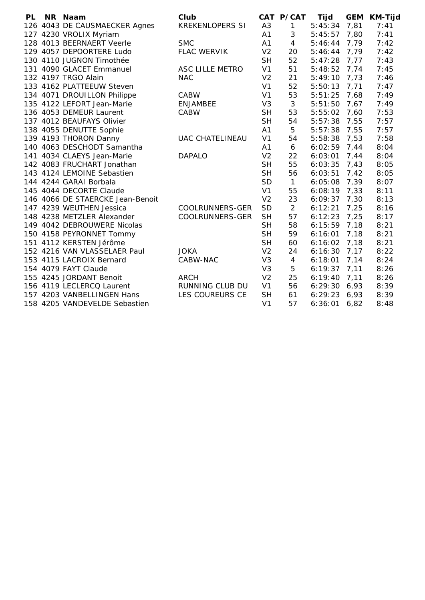| <b>PL</b> | NR Naam                          | Club                   |                | CAT P/CAT      | Tijd    | <b>GEM</b> | <b>KM-Tijd</b> |
|-----------|----------------------------------|------------------------|----------------|----------------|---------|------------|----------------|
|           | 126 4043 DE CAUSMAECKER Agnes    | <b>KREKENLOPERS SI</b> | A <sub>3</sub> | 1              | 5:45:34 | 7,81       | 7:41           |
|           | 127 4230 VROLIX Myriam           |                        | A1             | 3              | 5:45:57 | 7,80       | 7:41           |
|           | 128 4013 BEERNAERT Veerle        | <b>SMC</b>             | A1             | $\overline{4}$ | 5:46:44 | 7,79       | 7:42           |
|           | 129 4057 DEPOORTERE Ludo         | <b>FLAC WERVIK</b>     | V <sub>2</sub> | 20             | 5:46:44 | 7,79       | 7:42           |
|           | 130 4110 JUGNON Timothée         |                        | <b>SH</b>      | 52             | 5:47:28 | 7,77       | 7:43           |
|           | 131 4090 GLACET Emmanuel         | ASC LILLE METRO        | V <sub>1</sub> | 51             | 5:48:52 | 7,74       | 7:45           |
|           | 132 4197 TRGO Alain              | <b>NAC</b>             | V <sub>2</sub> | 21             | 5:49:10 | 7,73       | 7:46           |
|           | 133 4162 PLATTEEUW Steven        |                        | V <sub>1</sub> | 52             | 5:50:13 | 7,71       | 7:47           |
|           | 134 4071 DROUILLON Philippe      | <b>CABW</b>            | V <sub>1</sub> | 53             | 5:51:25 | 7,68       | 7:49           |
|           | 135 4122 LEFORT Jean-Marie       | <b>ENJAMBEE</b>        | V <sub>3</sub> | 3              | 5:51:50 | 7,67       | 7:49           |
|           | 136 4053 DEMEUR Laurent          | CABW                   | <b>SH</b>      | 53             | 5:55:02 | 7,60       | 7:53           |
|           | 137 4012 BEAUFAYS Olivier        |                        | <b>SH</b>      | 54             | 5:57:38 | 7,55       | 7:57           |
|           | 138 4055 DENUTTE Sophie          |                        | A <sub>1</sub> | 5              | 5:57:38 | 7,55       | 7:57           |
|           | 139 4193 THORON Danny            | <b>UAC CHATELINEAU</b> | V <sub>1</sub> | 54             | 5:58:38 | 7,53       | 7:58           |
|           | 140 4063 DESCHODT Samantha       |                        | A <sub>1</sub> | 6              | 6:02:59 | 7,44       | 8:04           |
|           | 141 4034 CLAEYS Jean-Marie       | <b>DAPALO</b>          | V <sub>2</sub> | 22             | 6:03:01 | 7,44       | 8:04           |
|           | 142 4083 FRUCHART Jonathan       |                        | <b>SH</b>      | 55             | 6:03:35 | 7,43       | 8:05           |
|           | 143 4124 LEMOINE Sebastien       |                        | <b>SH</b>      | 56             | 6:03:51 | 7,42       | 8:05           |
|           | 144 4244 GARAI Borbala           |                        | <b>SD</b>      | $\mathbf{1}$   | 6:05:08 | 7,39       | 8:07           |
|           | 145 4044 DECORTE Claude          |                        | V <sub>1</sub> | 55             | 6:08:19 | 7,33       | 8:11           |
|           | 146 4066 DE STAERCKE Jean-Benoit |                        | V <sub>2</sub> | 23             | 6:09:37 | 7,30       | 8:13           |
|           | 147 4239 WEUTHEN Jessica         | COOLRUNNERS-GER        | <b>SD</b>      | 2              | 6:12:21 | 7,25       | 8:16           |
|           | 148 4238 METZLER Alexander       | COOLRUNNERS-GER        | <b>SH</b>      | 57             | 6:12:23 | 7,25       | 8:17           |
|           | 149 4042 DEBROUWERE Nicolas      |                        | <b>SH</b>      | 58             | 6:15:59 | 7,18       | 8:21           |
|           | 150 4158 PEYRONNET Tommy         |                        | <b>SH</b>      | 59             | 6:16:01 | 7,18       | 8:21           |
|           | 151 4112 KERSTEN Jérôme          |                        | <b>SH</b>      | 60             | 6:16:02 | 7,18       | 8:21           |
|           | 152 4216 VAN VLASSELAER Paul     | <b>JOKA</b>            | V <sub>2</sub> | 24             | 6:16:30 | 7,17       | 8:22           |
|           | 153 4115 LACROIX Bernard         | CABW-NAC               | V3             | $\overline{4}$ | 6:18:01 | 7,14       | 8:24           |
|           | 154 4079 FAYT Claude             |                        | V3             | 5              | 6:19:37 | 7,11       | 8:26           |
|           | 155 4245 JORDANT Benoit          | <b>ARCH</b>            | V <sub>2</sub> | 25             | 6:19:40 | 7,11       | 8:26           |
|           | 156 4119 LECLERCQ Laurent        | <b>RUNNING CLUB DU</b> | V <sub>1</sub> | 56             | 6:29:30 | 6,93       | 8:39           |
|           | 157 4203 VANBELLINGEN Hans       | LES COUREURS CE        | <b>SH</b>      | 61             | 6:29:23 | 6,93       | 8:39           |
|           | 158 4205 VANDEVELDE Sebastien    |                        | V <sub>1</sub> | 57             | 6:36:01 | 6,82       | 8:48           |